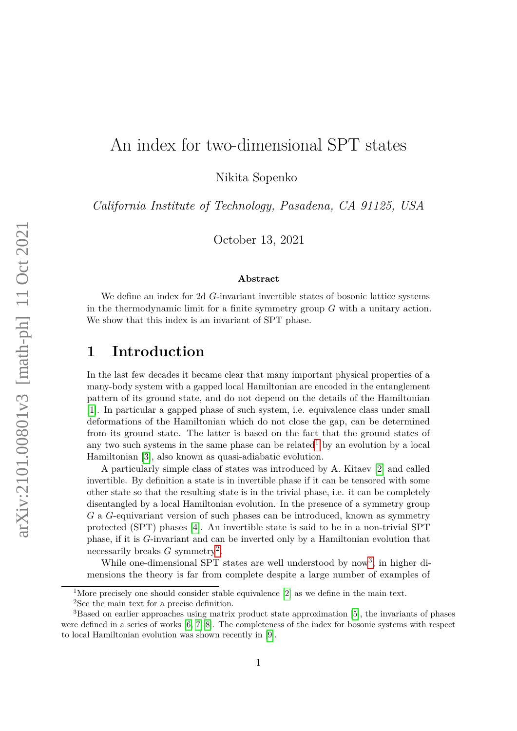# An index for two-dimensional SPT states

Nikita Sopenko

*California Institute of Technology, Pasadena, CA 91125, USA*

October 13, 2021

#### **Abstract**

We define an index for 2d *G*-invariant invertible states of bosonic lattice systems in the thermodynamic limit for a finite symmetry group *G* with a unitary action. We show that this index is an invariant of SPT phase.

## **1 Introduction**

In the last few decades it became clear that many important physical properties of a many-body system with a gapped local Hamiltonian are encoded in the entanglement pattern of its ground state, and do not depend on the details of the Hamiltonian [\[1\]](#page-17-0). In particular a gapped phase of such system, i.e. equivalence class under small deformations of the Hamiltonian which do not close the gap, can be determined from its ground state. The latter is based on the fact that the ground states of any two such systems in the same phase can be related<sup>[1](#page-0-0)</sup> by an evolution by a local Hamiltonian [\[3\]](#page-17-1), also known as quasi-adiabatic evolution.

A particularly simple class of states was introduced by A. Kitaev [\[2\]](#page-17-2) and called invertible. By definition a state is in invertible phase if it can be tensored with some other state so that the resulting state is in the trivial phase, i.e. it can be completely disentangled by a local Hamiltonian evolution. In the presence of a symmetry group *G* a *G*-equivariant version of such phases can be introduced, known as symmetry protected (SPT) phases [\[4\]](#page-17-3). An invertible state is said to be in a non-trivial SPT phase, if it is *G*-invariant and can be inverted only by a Hamiltonian evolution that necessarily breaks *G* symmetry<sup>[2](#page-0-1)</sup>.

While one-dimensional SPT states are well understood by now<sup>[3](#page-0-2)</sup>, in higher dimensions the theory is far from complete despite a large number of examples of

<span id="page-0-0"></span><sup>&</sup>lt;sup>1</sup>More precisely one should consider stable equivalence  $[2]$  as we define in the main text.

<span id="page-0-2"></span><span id="page-0-1"></span><sup>2</sup>See the main text for a precise definition.

<sup>3</sup>Based on earlier approaches using matrix product state approximation [\[5\]](#page-17-4), the invariants of phases were defined in a series of works [\[6,](#page-17-5) [7,](#page-17-6) [8\]](#page-18-0). The completeness of the index for bosonic systems with respect to local Hamiltonian evolution was shown recently in [\[9\]](#page-18-1).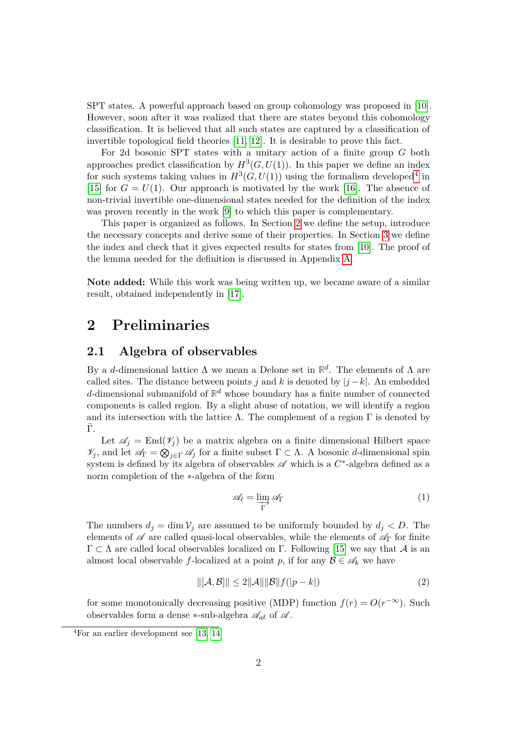SPT states. A powerful approach based on group cohomology was proposed in [\[10\]](#page-18-2). However, soon after it was realized that there are states beyond this cohomology classification. It is believed that all such states are captured by a classification of invertible topological field theories [\[11,](#page-18-3) [12\]](#page-18-4). It is desirable to prove this fact.

For 2d bosonic SPT states with a unitary action of a finite group *G* both approaches predict classification by  $H^3(G, U(1))$ . In this paper we define an index for such systems taking values in  $H^3(G, U(1))$  using the formalism developed<sup>[4](#page-1-0)</sup> in [\[15\]](#page-18-5) for  $G = U(1)$ . Our approach is motivated by the work [\[16\]](#page-18-6). The absence of non-trivial invertible one-dimensional states needed for the definition of the index was proven recently in the work [\[9\]](#page-18-1) to which this paper is complementary.

This paper is organized as follows. In Section [2](#page-1-1) we define the setup, introduce the necessary concepts and derive some of their properties. In Section [3](#page-7-0) we define the index and check that it gives expected results for states from [\[10\]](#page-18-2). The proof of the lemma needed for the definition is discussed in Appendix [A.](#page-13-0)

**Note added:** While this work was being written up, we became aware of a similar result, obtained independently in [\[17\]](#page-18-7).

### <span id="page-1-1"></span>**2 Preliminaries**

#### **2.1 Algebra of observables**

By a *d*-dimensional lattice Λ we mean a Delone set in **R** *d* . The elements of Λ are called sites. The distance between points *j* and *k* is denoted by  $|j - k|$ . An embedded *d*-dimensional submanifold of  $\mathbb{R}^d$  whose boundary has a finite number of connected components is called region. By a slight abuse of notation, we will identify a region and its intersection with the lattice  $\Lambda$ . The complement of a region  $\Gamma$  is denoted by  $\Gamma$ .

Let  $\mathscr{A}_i = \text{End}(\mathscr{V}_i)$  be a matrix algebra on a finite dimensional Hilbert space  $\mathscr{V}_j$ , and let  $\mathscr{A}_{\Gamma} = \bigotimes_{j \in \Gamma} \mathscr{A}_j$  for a finite subset  $\Gamma \subset \Lambda$ . A bosonic *d*-dimensional spin system is defined by its algebra of observables  $\mathscr A$  which is a  $C^*$ -algebra defined as a norm completion of the ∗-algebra of the form

$$
\mathscr{A}_{\ell} = \varinjlim_{\Gamma} \mathscr{A}_{\Gamma} \tag{1}
$$

The numbers  $d_j = \dim \mathcal{V}_j$  are assumed to be uniformly bounded by  $d_j < D$ . The elements of  $\mathscr A$  are called quasi-local observables, while the elements of  $\mathscr A_{\Gamma}$  for finite  $\Gamma \subset \Lambda$  are called local observables localized on  $\Gamma$ . Following [\[15\]](#page-18-5) we say that  $\mathcal A$  is an almost local observable *f*-localized at a point *p*, if for any  $\mathcal{B} \in \mathscr{A}_k$  we have

$$
\|[\mathcal{A}, \mathcal{B}]\| \le 2\|\mathcal{A}\| \|\mathcal{B}\| f(|p - k|)
$$
\n(2)

for some monotonically decreasing positive (MDP) function  $f(r) = O(r^{-\infty})$ . Such observables form a dense  $*$ -sub-algebra  $\mathscr{A}_{al}$  of  $\mathscr{A}$ .

<span id="page-1-0"></span><sup>4</sup>For an earlier development see [\[13,](#page-18-8) [14\]](#page-18-9)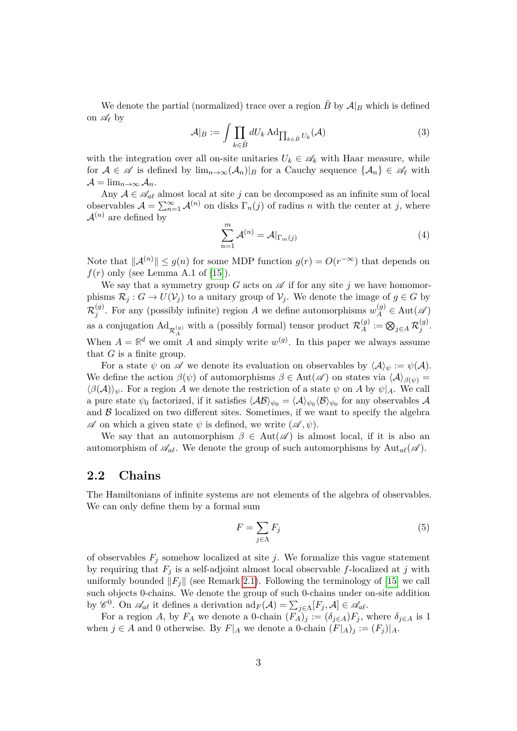We denote the partial (normalized) trace over a region *B* by  $A|_B$  which is defined on  $\mathscr{A}_{\ell}$  by

$$
\mathcal{A}|_B := \int \prod_{k \in \bar{B}} dU_k \, \text{Ad}_{\prod_{k \in \bar{B}} U_k}(\mathcal{A}) \tag{3}
$$

with the integration over all on-site unitaries  $U_k \in \mathscr{A}_k$  with Haar measure, while for  $A \in \mathscr{A}$  is defined by  $\lim_{n\to\infty}$  $(\mathcal{A}_n)|_B$  for a Cauchy sequence  $\{\mathcal{A}_n\} \in \mathscr{A}_\ell$  with  $\mathcal{A} = \lim_{n \to \infty} \mathcal{A}_n.$ 

Any  $A \in \mathcal{A}_{\text{a}\ell}$  almost local at site *j* can be decomposed as an infinite sum of local observables  $A = \sum_{n=1}^{\infty} A^{(n)}$  on disks  $\Gamma_n(j)$  of radius *n* with the center at *j*, where  $\mathcal{A}^{(n)}$  are defined by

$$
\sum_{n=1}^{m} \mathcal{A}^{(n)} = \mathcal{A}|_{\Gamma_m(j)}\tag{4}
$$

Note that  $||A^{(n)}|| \le g(n)$  for some MDP function  $g(r) = O(r^{-\infty})$  that depends on  $f(r)$  only (see Lemma A.1 of [\[15\]](#page-18-5)).

We say that a symmetry group  $G$  acts on  $\mathscr A$  if for any site  $j$  we have homomorphisms  $\mathcal{R}_j$  :  $G \to U(\mathcal{V}_j)$  to a unitary group of  $\mathcal{V}_j$ . We denote the image of  $g \in G$  by  $\mathcal{R}_i^{(g)}$ *(g)*. For any (possibly infinite) region *A* we define automorphisms  $w_A^{(g)} \in \text{Aut}(\mathscr{A})$ as a conjugation  $\mathrm{Ad}_{\mathcal{R}^{(g)}_A}$  with a (possibly formal) tensor product  $\mathcal{R}^{(g)}_A$  $\mathcal{A}^{(g)}:=\bigotimes_{j\in A}\mathcal{R}^{(g)}_j$ *j* . When  $A = \mathbb{R}^d$  we omit A and simply write  $w^{(g)}$ . In this paper we always assume that *G* is a finite group.

For a state  $\psi$  on  $\mathscr A$  we denote its evaluation on observables by  $\langle A \rangle_{\psi} := \psi(A)$ . We define the action  $\beta(\psi)$  of automorphisms  $\beta \in Aut(\mathscr{A})$  on states via  $\langle \mathcal{A} \rangle_{\beta(\psi)} =$  $\langle \beta(\mathcal{A}) \rangle_{\psi}$ . For a region *A* we denote the restriction of a state  $\psi$  on *A* by  $\psi|_A$ . We call a pure state  $\psi_0$  factorized, if it satisfies  $\langle A\mathcal{B}\rangle_{\psi_0} = \langle A \rangle_{\psi_0} \langle \mathcal{B} \rangle_{\psi_0}$  for any observables  $A$ and  $\beta$  localized on two different sites. Sometimes, if we want to specify the algebra  $\mathscr A$  on which a given state  $\psi$  is defined, we write  $(\mathscr A, \psi)$ .

We say that an automorphism  $\beta \in Aut(\mathscr{A})$  is almost local, if it is also an automorphism of  $\mathscr{A}_{a\ell}$ . We denote the group of such automorphisms by  $\text{Aut}_{a\ell}(\mathscr{A})$ .

#### **2.2 Chains**

The Hamiltonians of infinite systems are not elements of the algebra of observables. We can only define them by a formal sum

$$
F = \sum_{j \in \Lambda} F_j \tag{5}
$$

of observables  $F_j$  somehow localized at site *j*. We formalize this vague statement by requiring that  $F_j$  is a self-adjoint almost local observable  $f$ -localized at  $j$  with uniformly bounded  $||F_i||$  (see Remark [2.1\)](#page-3-0). Following the terminology of [\[15\]](#page-18-5) we call such objects 0-chains. We denote the group of such 0-chains under on-site addition by  $\mathscr{C}^0$ . On  $\mathscr{A}_{\alpha\ell}$  it defines a derivation  $\mathrm{ad}_F(\mathcal{A}) = \sum_{j\in\Lambda} [F_j, \mathcal{A}] \in \mathscr{A}_{\alpha\ell}$ .

For a region *A*, by  $F_A$  we denote a 0-chain  $(F_A)_j := (\delta_{j \in A})F_j$ , where  $\delta_{j \in A}$  is 1 when  $j \in A$  and 0 otherwise. By  $F|_A$  we denote a 0-chain  $(F|_A)_j := (F_j)|_A$ .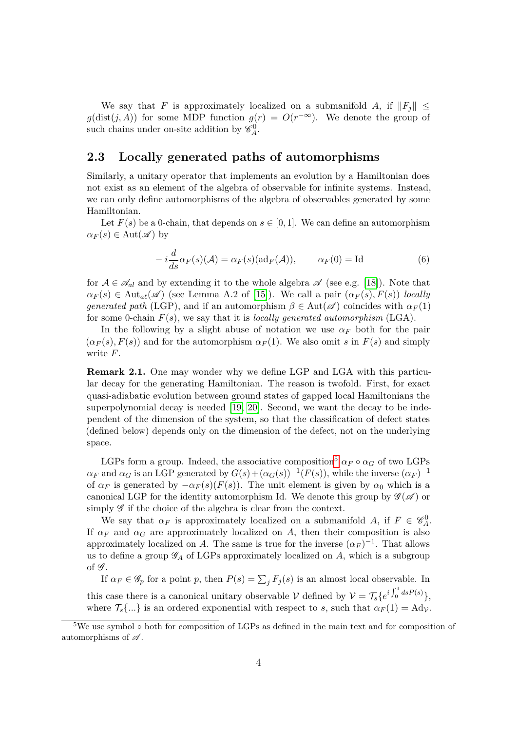We say that *F* is approximately localized on a submanifold *A*, if  $||F_i||$  <  $g(\text{dist}(j, A))$  for some MDP function  $g(r) = O(r^{-\infty})$ . We denote the group of such chains under on-site addition by  $\mathscr{C}_A^0$ .

#### **2.3 Locally generated paths of automorphisms**

Similarly, a unitary operator that implements an evolution by a Hamiltonian does not exist as an element of the algebra of observable for infinite systems. Instead, we can only define automorphisms of the algebra of observables generated by some Hamiltonian.

Let  $F(s)$  be a 0-chain, that depends on  $s \in [0,1]$ . We can define an automorphism  $\alpha_F(s) \in \text{Aut}(\mathscr{A})$  by

$$
-i\frac{d}{ds}\alpha_F(s)(\mathcal{A}) = \alpha_F(s)(\text{ad}_F(\mathcal{A})), \qquad \alpha_F(0) = \text{Id}
$$
 (6)

for  $A \in \mathscr{A}_{al}$  and by extending it to the whole algebra  $\mathscr{A}$  (see e.g. [\[18\]](#page-18-10)). Note that  $\alpha_F(s) \in \text{Aut}_{al}(\mathscr{A})$  (see Lemma A.2 of [\[15\]](#page-18-5)). We call a pair  $(\alpha_F(s), F(s))$  *locally generated path* (LGP), and if an automorphism  $\beta \in \text{Aut}(\mathscr{A})$  coincides with  $\alpha_F(1)$ for some 0-chain *F*(*s*), we say that it is *locally generated automorphism* (LGA).

In the following by a slight abuse of notation we use  $\alpha_F$  both for the pair  $(\alpha_F(s), F(s))$  and for the automorphism  $\alpha_F(1)$ . We also omit *s* in  $F(s)$  and simply write *F*.

<span id="page-3-0"></span>**Remark 2.1.** One may wonder why we define LGP and LGA with this particular decay for the generating Hamiltonian. The reason is twofold. First, for exact quasi-adiabatic evolution between ground states of gapped local Hamiltonians the superpolynomial decay is needed [\[19,](#page-18-11) [20\]](#page-18-12). Second, we want the decay to be independent of the dimension of the system, so that the classification of defect states (defined below) depends only on the dimension of the defect, not on the underlying space.

LGPs form a group. Indeed, the associative composition<sup>[5](#page-3-1)</sup>  $\alpha_F \circ \alpha_G$  of two LGPs  $\alpha_F$  and  $\alpha_G$  is an LGP generated by  $G(s) + (\alpha_G(s))^{-1}(F(s))$ , while the inverse  $(\alpha_F)^{-1}$ of  $\alpha_F$  is generated by  $-\alpha_F(s)(F(s))$ . The unit element is given by  $\alpha_0$  which is a canonical LGP for the identity automorphism Id. We denote this group by  $\mathscr{G}(\mathscr{A})$  or simply  $\mathscr G$  if the choice of the algebra is clear from the context.

We say that  $\alpha_F$  is approximately localized on a submanifold *A*, if  $F \in \mathscr{C}_A^0$ . If  $\alpha_F$  and  $\alpha_G$  are approximately localized on *A*, then their composition is also approximately localized on *A*. The same is true for the inverse  $(\alpha_F)^{-1}$ . That allows us to define a group  $\mathscr{G}_A$  of LGPs approximately localized on  $A$ , which is a subgroup of  $\mathscr G$ .

If  $\alpha_F \in \mathscr{G}_p$  for a point *p*, then  $P(s) = \sum_j F_j(s)$  is an almost local observable. In this case there is a canonical unitary observable V defined by  $V = \mathcal{T}_s \{e^{i \int_0^1 ds P(s)}\},\$ where  $\mathcal{T}_s\{\ldots\}$  is an ordered exponential with respect to *s*, such that  $\alpha_F(1) = \text{Ad}_{\mathcal{V}}$ .

<span id="page-3-1"></span><sup>5</sup>We use symbol ◦ both for composition of LGPs as defined in the main text and for composition of automorphisms of  $\mathscr A$ .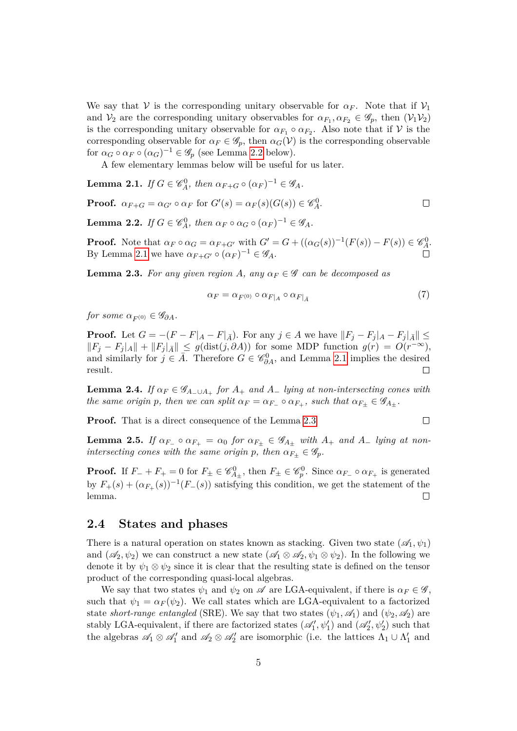We say that V is the corresponding unitary observable for  $\alpha_F$ . Note that if  $\mathcal{V}_1$ and  $V_2$  are the corresponding unitary observables for  $\alpha_{F_1}, \alpha_{F_2} \in \mathscr{G}_p$ , then  $(V_1V_2)$ is the corresponding unitary observable for  $\alpha_{F_1} \circ \alpha_{F_2}$ . Also note that if  $\mathcal V$  is the corresponding observable for  $\alpha_F \in \mathscr{G}_p$ , then  $\alpha_G(\mathcal{V})$  is the corresponding observable for  $\alpha_G \circ \alpha_F \circ (\alpha_G)^{-1} \in \mathscr{G}_p$  (see Lemma [2.2](#page-4-0) below).

A few elementary lemmas below will be useful for us later.

<span id="page-4-1"></span>**Lemma 2.1.** *If*  $G \in \mathscr{C}_{A}^{0}$ , then  $\alpha_{F+G} \circ (\alpha_F)^{-1} \in \mathscr{G}_{A}$ .

**Proof.**  $\alpha_{F+G} = \alpha_{G'} \circ \alpha_F$  for  $G'(s) = \alpha_F(s)(G(s)) \in \mathscr{C}^0_A$ .

<span id="page-4-0"></span>**Lemma 2.2.** *If*  $G \in \mathscr{C}_A^0$ , then  $\alpha_F \circ \alpha_G \circ (\alpha_F)^{-1} \in \mathscr{G}_A$ .

**Proof.** Note that  $\alpha_F \circ \alpha_G = \alpha_{F+G'}$  with  $G' = G + ((\alpha_G(s))^{-1}(F(s)) - F(s)) \in \mathcal{C}_{A}^0$ . By Lemma [2.1](#page-4-1) we have  $\alpha_{F+G'} \circ (\alpha_F)^{-1} \in \mathscr{G}_A$ .

<span id="page-4-2"></span>**Lemma 2.3.** *For any given region A*, any  $\alpha_F \in \mathscr{G}$  *can be decomposed as* 

$$
\alpha_F = \alpha_{F^{(0)}} \circ \alpha_{F|_A} \circ \alpha_{F|_{\bar{A}}} \tag{7}
$$

 $\Box$ 

 $\Box$ 

*for some*  $\alpha_{F^{(0)}} \in \mathscr{G}_{\partial A}$ *.* 

**Proof.** Let  $G = -(F - F|_A - F|_{\bar{A}})$ . For any  $j \in A$  we have  $||F_j - F_j||_A - F_j|_{\bar{A}}|| \le$  $||F_j - F_j|_A|| + ||F_j|_{\overline{A}}||$  ≤ *g*(dist(*j, ∂A*)) for some MDP function *g*(*r*) = *O*(*r*<sup>-∞</sup>), and similarly for  $j \in \overline{A}$ . Therefore  $G \in \mathcal{C}_{\partial A}^0$ , and Lemma [2.1](#page-4-1) implies the desired result.  $\Box$ 

<span id="page-4-3"></span>**Lemma 2.4.** *If*  $\alpha_F \in \mathscr{G}_{A_-\cup A_+}$  *for*  $A_+$  *and*  $A_-$  *lying at non-intersecting cones with the same origin p, then we can split*  $\alpha_F = \alpha_{F-} \circ \alpha_{F+}$ *, such that*  $\alpha_{F\pm} \in \mathscr{G}_{A_{\pm}}$ *.* 

**Proof.** That is a direct consequence of the Lemma [2.3](#page-4-2)

<span id="page-4-4"></span>**Lemma 2.5.** If  $\alpha_{F-} \circ \alpha_{F+} = \alpha_0$  for  $\alpha_{F+} \in \mathscr{G}_{A+}$  with  $A_+$  and  $A_-$  lying at non*intersecting cones with the same origin*  $p$ *, then*  $\alpha_{F_+} \in \mathscr{G}_p$ *.* 

**Proof.** If  $F_+ + F_+ = 0$  for  $F_+ \in \mathscr{C}_{A_+}^0$ , then  $F_+ \in \mathscr{C}_{p}^0$ . Since  $\alpha_{F_+} \circ \alpha_{F_+}$  is generated by  $F_{+}(s) + (\alpha_{F_{+}}(s))^{-1}(F_{-}(s))$  satisfying this condition, we get the statement of the lemma.  $\Box$ 

#### **2.4 States and phases**

There is a natural operation on states known as stacking. Given two state  $(\mathscr{A}_1, \psi_1)$ and  $(\mathscr{A}_2, \psi_2)$  we can construct a new state  $(\mathscr{A}_1 \otimes \mathscr{A}_2, \psi_1 \otimes \psi_2)$ . In the following we denote it by  $\psi_1 \otimes \psi_2$  since it is clear that the resulting state is defined on the tensor product of the corresponding quasi-local algebras.

We say that two states  $\psi_1$  and  $\psi_2$  on A are LGA-equivalent, if there is  $\alpha_F \in \mathscr{G}$ , such that  $\psi_1 = \alpha_F(\psi_2)$ . We call states which are LGA-equivalent to a factorized state *short-range entangled* (SRE). We say that two states  $(\psi_1, \mathscr{A}_1)$  and  $(\psi_2, \mathscr{A}_2)$  are stably LGA-equivalent, if there are factorized states  $(\mathscr{A}'_1, \psi'_1)$  and  $(\mathscr{A}'_2, \psi'_2)$  such that the algebras  $\mathscr{A}_1 \otimes \mathscr{A}_1'$  and  $\mathscr{A}_2 \otimes \mathscr{A}_2'$  are isomorphic (i.e. the lattices  $\Lambda_1 \cup \Lambda_1'$  and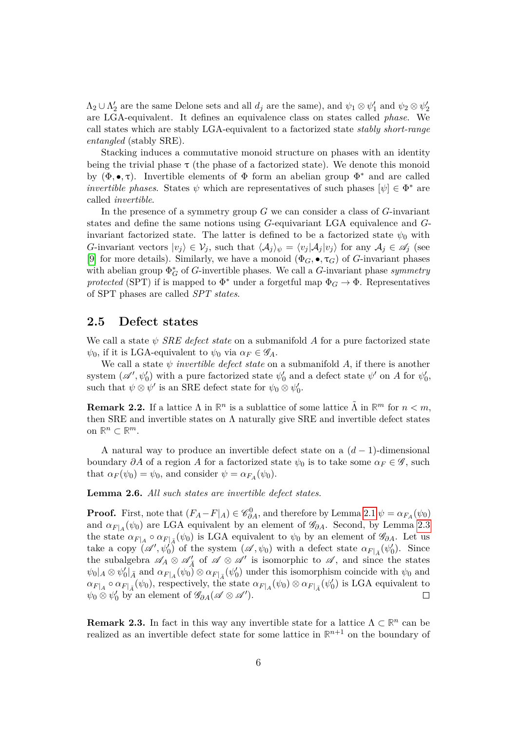$\Lambda_2 \cup \Lambda'_2$  are the same Delone sets and all  $d_j$  are the same), and  $\psi_1 \otimes \psi'_1$  and  $\psi_2 \otimes \psi'_2$ are LGA-equivalent. It defines an equivalence class on states called *phase*. We call states which are stably LGA-equivalent to a factorized state *stably short-range entangled* (stably SRE).

Stacking induces a commutative monoid structure on phases with an identity being the trivial phase  $\tau$  (the phase of a factorized state). We denote this monoid by  $(\Phi, \bullet, \tau)$ . Invertible elements of  $\Phi$  form an abelian group  $\Phi^*$  and are called *invertible phases.* States  $\psi$  which are representatives of such phases  $[\psi] \in \Phi^*$  are called *invertible*.

In the presence of a symmetry group *G* we can consider a class of *G*-invariant states and define the same notions using *G*-equivariant LGA equivalence and *G*invariant factorized state. The latter is defined to be a factorized state  $\psi_0$  with *G*-invariant vectors  $|v_i\rangle \in \mathcal{V}_j$ , such that  $\langle A_j \rangle_{\psi} = \langle v_j | A_j | v_j \rangle$  for any  $A_j \in \mathscr{A}_j$  (see [\[9\]](#page-18-1) for more details). Similarly, we have a monoid  $(\Phi_G, \bullet, \tau_G)$  of *G*-invariant phases with abelian group  $\Phi_G^*$  of *G*-invertible phases. We call a *G*-invariant phase *symmetry protected* (SPT) if is mapped to  $\Phi^*$  under a forgetful map  $\Phi_G \to \Phi$ . Representatives of SPT phases are called *SPT states*.

#### **2.5 Defect states**

We call a state *ψ SRE defect state* on a submanifold *A* for a pure factorized state  $\psi_0$ , if it is LGA-equivalent to  $\psi_0$  via  $\alpha_F \in \mathscr{G}_A$ .

We call a state  $\psi$  *invertible defect state* on a submanifold  $A$ , if there is another system  $(\mathscr{A}', \psi'_0)$  with a pure factorized state  $\psi'_0$  and a defect state  $\psi'$  on *A* for  $\psi'_0$ , such that  $\psi \otimes \psi'$  is an SRE defect state for  $\psi_0 \otimes \psi'_0$ .

**Remark 2.2.** If a lattice  $\Lambda$  in  $\mathbb{R}^n$  is a sublattice of some lattice  $\tilde{\Lambda}$  in  $\mathbb{R}^m$  for  $n < m$ , then SRE and invertible states on  $\Lambda$  naturally give SRE and invertible defect states on  $\mathbb{R}^n \subset \mathbb{R}^m$ .

A natural way to produce an invertible defect state on a (*d* − 1)-dimensional boundary  $\partial A$  of a region A for a factorized state  $\psi_0$  is to take some  $\alpha_F \in \mathscr{G}$ , such that  $\alpha_F(\psi_0) = \psi_0$ , and consider  $\psi = \alpha_{F_A}(\psi_0)$ .

<span id="page-5-0"></span>**Lemma 2.6.** *All such states are invertible defect states.*

**Proof.** First, note that  $(F_A - F|_A) \in \mathcal{C}_{\partial A}^0$ , and therefore by Lemma [2.1](#page-4-1)  $\psi = \alpha_{F_A}(\psi_0)$ and  $\alpha_{F|A}(\psi_0)$  are LGA equivalent by an element of  $\mathscr{G}_{\partial A}$ . Second, by Lemma [2.3](#page-4-2) the state  $\alpha_{F|A} \circ \alpha_{F|A}(\psi_0)$  is LGA equivalent to  $\psi_0$  by an element of  $\mathscr{G}_{\partial A}$ . Let us take a copy  $(\mathscr{A}', \psi_0')$  of the system  $(\mathscr{A}, \psi_0)$  with a defect state  $\alpha_{F|_{\bar{A}}}(\psi_0')$ . Since the subalgebra  $\mathscr{A}_A \otimes \mathscr{A}'_{\overline{A}}$  of  $\mathscr{A} \otimes \mathscr{A}'$  is isomorphic to  $\mathscr{A}$ , and since the states  $\psi_0|_A \otimes \psi'_0|_{\bar{A}}$  and  $\alpha_{F|_A}(\psi_0) \otimes \alpha_{F|_{\bar{A}}}(\psi'_0)$  under this isomorphism coincide with  $\psi_0$  and  $\alpha_{F|A} \circ \alpha_{F|A}(\psi_0)$ , respectively, the state  $\alpha_{F|A}(\psi_0) \otimes \alpha_{F|A}(\psi'_0)$  is LGA equivalent to  $\psi_0 \otimes \psi'_0$  by an element of  $\mathscr{G}_{\partial A}(\mathscr{A} \otimes \mathscr{A}')$ .  $\Box$ 

**Remark 2.3.** In fact in this way any invertible state for a lattice  $\Lambda \subset \mathbb{R}^n$  can be realized as an invertible defect state for some lattice in  $\mathbb{R}^{n+1}$  on the boundary of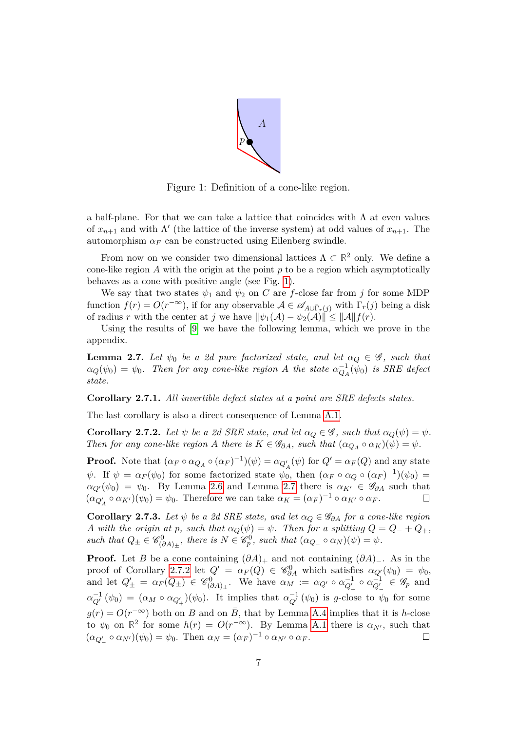

Figure 1: Definition of a cone-like region.

<span id="page-6-0"></span>a half-plane. For that we can take a lattice that coincides with  $\Lambda$  at even values of  $x_{n+1}$  and with  $\Lambda'$  (the lattice of the inverse system) at odd values of  $x_{n+1}$ . The automorphism  $\alpha_F$  can be constructed using Eilenberg swindle.

From now on we consider two dimensional lattices  $\Lambda \subset \mathbb{R}^2$  only. We define a cone-like region *A* with the origin at the point *p* to be a region which asymptotically behaves as a cone with positive angle (see Fig. [1\)](#page-6-0).

We say that two states  $\psi_1$  and  $\psi_2$  on *C* are *f*-close far from *j* for some MDP function  $f(r) = O(r^{-\infty})$ , if for any observable  $A \in \mathscr{A}_{A \cup \overline{\Gamma}_r(j)}$  with  $\Gamma_r(j)$  being a disk of radius *r* with the center at *j* we have  $\|\psi_1(\mathcal{A}) - \psi_2(\mathcal{A})\| \le \|\mathcal{A}\| f(r)$ .

Using the results of [\[9\]](#page-18-1) we have the following lemma, which we prove in the appendix.

<span id="page-6-1"></span>**Lemma 2.7.** *Let*  $\psi_0$  *be a 2d pure factorized state, and let*  $\alpha_Q \in \mathscr{G}$ *, such that*  $\alpha_Q(\psi_0) = \psi_0$ . Then for any cone-like region *A* the state  $\alpha_{Q_A}^{-1}(\psi_0)$  is SRE defect *state.*

**Corollary 2.7.1.** *All invertible defect states at a point are SRE defects states.*

The last corollary is also a direct consequence of Lemma [A.1.](#page-13-1)

<span id="page-6-2"></span>**Corollary 2.7.2.** *Let*  $\psi$  *be a 2d SRE state, and let*  $\alpha_Q \in \mathscr{G}$ *, such that*  $\alpha_Q(\psi) = \psi$ *. Then for any cone-like region A there is*  $K \in \mathscr{G}_{\partial A}$ *, such that*  $(\alpha_{Q_A} \circ \alpha_K)(\psi) = \psi$ *.* 

**Proof.** Note that  $(\alpha_F \circ \alpha_{Q_A} \circ (\alpha_F)^{-1})(\psi) = \alpha_{Q'_A}(\psi)$  for  $Q' = \alpha_F(Q)$  and any state *ψ*. If  $\psi = \alpha_F(\psi_0)$  for some factorized state  $\psi_0$ , then  $(\alpha_F \circ \alpha_Q \circ (\alpha_F)^{-1})(\psi_0) =$  $a_{Q}(\psi_0) = \psi_0$ . By Lemma [2.6](#page-5-0) and Lemma [2.7](#page-6-1) there is  $a_{K'} \in \mathscr{G}_{\partial A}$  such that  $(\alpha_{Q'_A} \circ \alpha_{K'})(\psi_0) = \psi_0$ . Therefore we can take  $\alpha_K = (\alpha_F)^{-1} \circ \alpha_{K'} \circ \alpha_F$ .  $\Box$ 

<span id="page-6-3"></span>**Corollary 2.7.3.** *Let*  $\psi$  *be a 2d SRE state, and let*  $\alpha_Q \in \mathscr{G}_{\partial A}$  *for a cone-like region A* with the origin at *p*, such that  $\alpha_Q(\psi) = \psi$ . Then for a splitting  $Q = Q_- + Q_+$ ,  $such that Q_{\pm} \in \mathscr{C}_{(\partial A)_{\pm}}^{0}, there is N \in \mathscr{C}_{p}^{0}, such that (\alpha_{Q_{-}} \circ \alpha_{N})(\psi) = \psi.$ 

**Proof.** Let *B* be a cone containing  $(\partial A)_+$  and not containing  $(\partial A)_-$ . As in the proof of Corollary [2.7.2](#page-6-2) let  $Q' = \alpha_F(Q) \in \mathscr{C}_{\partial A}^0$  which satisfies  $\alpha_{Q'}(\psi_0) = \psi_0$ , and let  $Q'_{\pm} = \alpha_F(Q_{\pm}) \in \mathscr{C}_{(\partial A)_{\pm}}^0$ . We have  $\alpha_M := \alpha_{Q'} \circ \alpha_{Q'_{+}}^{-1} \circ \alpha_{Q'_{-}}^{-1} \in \mathscr{G}_p$  and  $\alpha_{Q'_{-}}^{-1}(\psi_0) = (\alpha_M \circ \alpha_{Q'_{+}})(\psi_0)$ . It implies that  $\alpha_{Q'_{-}}^{-1}(\psi_0)$  is *g*-close to  $\psi_0$  for some  $g(r) = O(r^{-\infty})$  both on *B* and on  $\overline{B}$ , that by Lemma [A.4](#page-14-0) implies that it is *h*-close to  $\psi_0$  on  $\mathbb{R}^2$  for some  $h(r) = O(r^{-\infty})$ . By Lemma [A.1](#page-13-1) there is  $\alpha_{N'}$ , such that  $(\alpha_{Q'_{-}} \circ \alpha_{N'})(\psi_0) = \psi_0$ . Then  $\alpha_N = (\alpha_F)^{-1} \circ \alpha_{N'} \circ \alpha_F$ .  $\Box$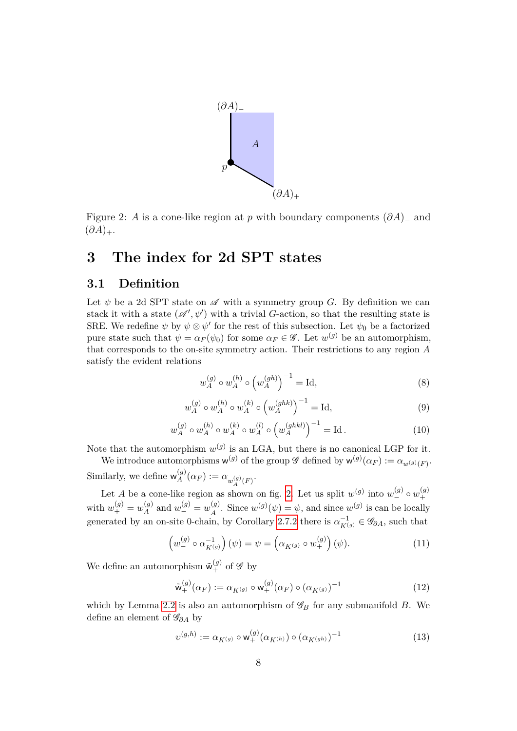

<span id="page-7-1"></span>Figure 2: *A* is a cone-like region at *p* with boundary components  $(\partial A)$ <sub>−</sub> and  $(\partial A)_+.$ 

## <span id="page-7-0"></span>**3 The index for 2d SPT states**

#### <span id="page-7-2"></span>**3.1 Definition**

Let  $\psi$  be a 2d SPT state on  $\mathscr A$  with a symmetry group *G*. By definition we can stack it with a state  $(\mathscr{A}', \psi')$  with a trivial *G*-action, so that the resulting state is SRE. We redefine  $\psi$  by  $\psi \otimes \psi'$  for the rest of this subsection. Let  $\psi_0$  be a factorized pure state such that  $\psi = \alpha_F(\psi_0)$  for some  $\alpha_F \in \mathscr{G}$ . Let  $w^{(g)}$  be an automorphism, that corresponds to the on-site symmetry action. Their restrictions to any region *A* satisfy the evident relations

$$
w_A^{(g)} \circ w_A^{(h)} \circ \left(w_A^{(gh)}\right)^{-1} = \text{Id},\tag{8}
$$

$$
w_A^{(g)} \circ w_A^{(h)} \circ w_A^{(k)} \circ \left(w_A^{(ghk)}\right)^{-1} = \text{Id},\tag{9}
$$

$$
w_A^{(g)} \circ w_A^{(h)} \circ w_A^{(k)} \circ w_A^{(l)} \circ \left(w_A^{(ghkl)}\right)^{-1} = \text{Id} \,. \tag{10}
$$

Note that the automorphism  $w^{(g)}$  is an LGA, but there is no canonical LGP for it.

We introduce automorphisms  $w^{(g)}$  of the group  $\mathscr G$  defined by  $w^{(g)}(\alpha_F) := \alpha_{w^{(g)}(F)}$ . Similarly, we define  $w_A^{(g)}$  $\alpha_A^{(g)}(\alpha_F) := \alpha_{w_A^{(g)}(F)}.$ 

*A* Let *A* be a cone-like region as shown on fig. [2.](#page-7-1) Let us split  $w^{(g)}$  into  $w^{(g)}_{-} \circ w^{(g)}_{+}$  $^{+}$ with  $w_{+}^{(g)} = w_{A}^{(g)}$  $w_A^{(g)}$  and  $w_{-}^{(g)} = w_{\bar{A}}^{(g)}$  $\chi_{\bar{A}}^{(g)}$ . Since  $w^{(g)}(\psi) = \psi$ , and since  $w^{(g)}$  is can be locally generated by an on-site 0-chain, by Corollary [2.7.2](#page-6-2) there is  $\alpha_{K(g)}^{-1} \in \mathscr{G}_{\partial A}$ , such that

$$
\left(w_{-}^{(g)} \circ \alpha_{K^{(g)}}^{-1}\right)(\psi) = \psi = \left(\alpha_{K^{(g)}} \circ w_{+}^{(g)}\right)(\psi). \tag{11}
$$

We define an automorphism  $\tilde{\mathsf{w}}_{+}^{(g)}$  of  $\mathscr{G}$  by

$$
\tilde{\mathbf{w}}_{+}^{(g)}(\alpha_F) := \alpha_{K^{(g)}} \circ \mathbf{w}_{+}^{(g)}(\alpha_F) \circ (\alpha_{K^{(g)}})^{-1}
$$
\n(12)

which by Lemma [2.2](#page-4-0) is also an automorphism of  $\mathscr{G}_B$  for any submanifold *B*. We define an element of G*∂A* by

$$
v^{(g,h)} := \alpha_{K^{(g)}} \circ \mathsf{w}_{+}^{(g)}(\alpha_{K^{(h)}}) \circ (\alpha_{K^{(gh)}})^{-1}
$$
(13)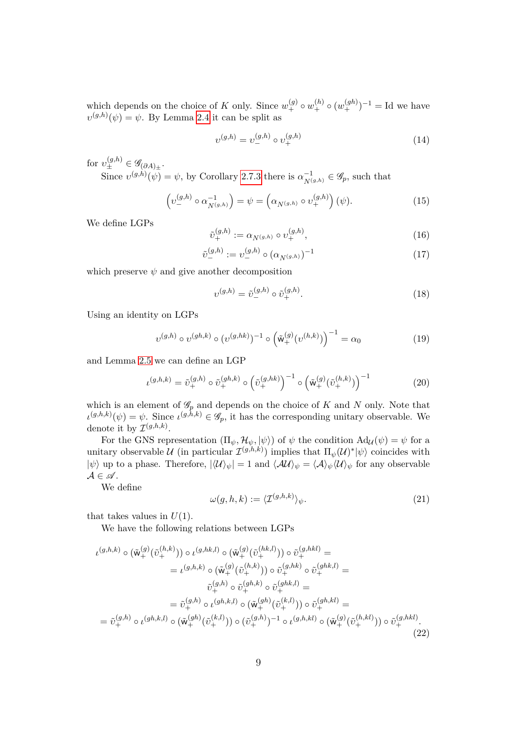which depends on the choice of *K* only. Since  $w_+^{(g)} \circ w_+^{(h)} \circ (w_+^{(gh)})^{-1} = \text{Id}$  we have  $v^{(g,h)}(\psi) = \psi$ . By Lemma [2.4](#page-4-3) it can be split as

$$
v^{(g,h)} = v_-^{(g,h)} \circ v_+^{(g,h)} \tag{14}
$$

for  $v_{\pm}^{(g,h)} \in \mathscr{G}_{(\partial A)_{\pm}}$ .

Since  $v^{(g,h)}(\psi) = \psi$ , by Corollary [2.7.3](#page-6-3) there is  $\alpha_{N^{(g,h)}}^{-1} \in \mathscr{G}_p$ , such that

$$
\left(v_{-}^{(g,h)} \circ \alpha_{N^{(g,h)}}^{-1}\right) = \psi = \left(\alpha_{N^{(g,h)}} \circ v_{+}^{(g,h)}\right)(\psi). \tag{15}
$$

We define LGPs

$$
\tilde{\upsilon}_{+}^{(g,h)} := \alpha_{N^{(g,h)}} \circ \upsilon_{+}^{(g,h)},\tag{16}
$$

$$
\tilde{v}_{-}^{(g,h)} := v_{-}^{(g,h)} \circ (\alpha_{N^{(g,h)}})^{-1} \tag{17}
$$

which preserve  $\psi$  and give another decomposition

$$
v^{(g,h)} = \tilde{v}^{(g,h)}_{-} \circ \tilde{v}^{(g,h)}_{+}.
$$
 (18)

Using an identity on LGPs

$$
v^{(g,h)} \circ v^{(gh,k)} \circ (v^{(g,hk)})^{-1} \circ (\tilde{\mathbf{w}}_+^{(g)}(v^{(h,k)}))^{-1} = \alpha_0 \tag{19}
$$

and Lemma [2.5](#page-4-4) we can define an LGP

$$
\iota^{(g,h,k)} = \tilde{\upsilon}_{+}^{(g,h)} \circ \tilde{\upsilon}_{+}^{(gh,k)} \circ \left(\tilde{\upsilon}_{+}^{(g,hk)}\right)^{-1} \circ \left(\tilde{\mathsf{w}}_{+}^{(g)}(\tilde{\upsilon}_{+}^{(h,k)})\right)^{-1} \tag{20}
$$

which is an element of  $\mathscr{G}_p$  and depends on the choice of *K* and *N* only. Note that  $\iota^{(g,h,k)}(\psi) = \psi$ . Since  $\iota^{(g,h,k)} \in \mathscr{G}_p$ , it has the corresponding unitary observable. We denote it by  $\mathcal{I}^{(g,h,k)}$ .

For the GNS representation  $(\Pi_{\psi}, \mathcal{H}_{\psi}, |\psi\rangle)$  of  $\psi$  the condition  $\text{Ad}_{\mathcal{U}}(\psi) = \psi$  for a unitary observable  $\mathcal U$  (in particular  $\mathcal I^{(g,h,k)}$ ) implies that  $\Pi_{\psi}(\mathcal U)^*|\psi\rangle$  coincides with  $|\psi\rangle$  up to a phase. Therefore,  $|\langle \mathcal{U} \rangle_{\psi}| = 1$  and  $\langle \mathcal{A} \mathcal{U} \rangle_{\psi} = \langle \mathcal{A} \rangle_{\psi} \langle \mathcal{U} \rangle_{\psi}$  for any observable  $A \in \mathscr{A}$ .

We define

$$
\omega(g, h, k) := \langle \mathcal{I}^{(g, h, k)} \rangle_{\psi}.
$$
\n(21)

that takes values in  $U(1)$ .

We have the following relations between LGPs

$$
\iota^{(g,h,k)} \circ (\tilde{\mathsf{w}}_+^{(g)}(\tilde{v}_+^{(h,k)})) \circ \iota^{(g,hk,l)} \circ (\tilde{\mathsf{w}}_+^{(g)}(\tilde{v}_+^{(h,k)})) \circ \tilde{v}_+^{(g,hk)} =
$$
\n
$$
= \iota^{(g,h,k)} \circ (\tilde{\mathsf{w}}_+^{(g)}(\tilde{v}_+^{(h,k)})) \circ \tilde{v}_+^{(g,hk)} \circ \tilde{v}_+^{(g,hk)} =
$$
\n
$$
\tilde{v}_+^{(g,h)} \circ \tilde{v}_+^{(gh,k)} \circ \tilde{v}_+^{(gh,k)} =
$$
\n
$$
= \tilde{v}_+^{(g,h)} \circ \iota^{(gh,k,l)} \circ (\tilde{\mathsf{w}}_+^{(gh)}(\tilde{v}_+^{(k,l)})) \circ \tilde{v}_+^{(gh,kl)} =
$$
\n
$$
= \tilde{v}_+^{(g,h)} \circ \iota^{(gh,k,l)} \circ (\tilde{\mathsf{w}}_+^{(gh)}(\tilde{v}_+^{(k,l)})) \circ (\tilde{v}_+^{(g,h,kl)} \circ (\tilde{\mathsf{w}}_+^{(g)}(\tilde{v}_+^{(h,kl)})) \circ \tilde{v}_+^{(g,hkl)}.
$$
\n
$$
(22)
$$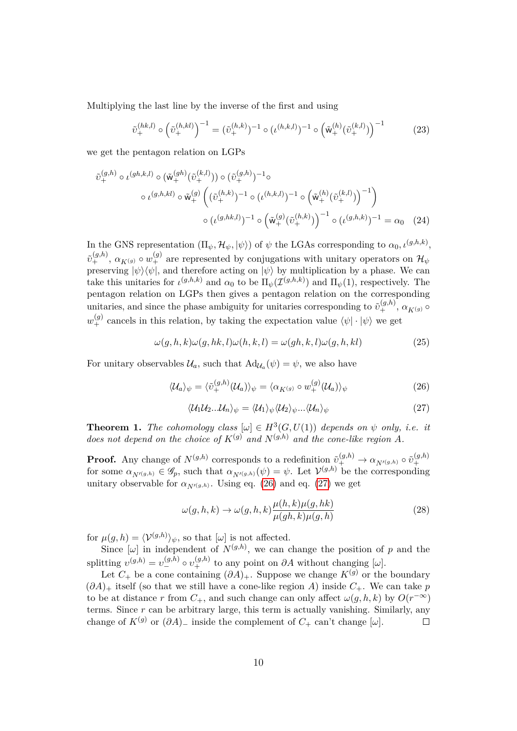Multiplying the last line by the inverse of the first and using

$$
\tilde{\upsilon}_{+}^{(hk,l)} \circ \left(\tilde{\upsilon}_{+}^{(h,kl)}\right)^{-1} = (\tilde{\upsilon}_{+}^{(h,k)})^{-1} \circ (\iota^{(h,k,l)})^{-1} \circ \left(\tilde{\mathbf{w}}_{+}^{(h)}(\tilde{\upsilon}_{+}^{(k,l)})\right)^{-1}
$$
(23)

we get the pentagon relation on LGPs

$$
\tilde{v}_{+}^{(g,h)} \circ \iota^{(gh,k,l)} \circ (\tilde{\mathsf{w}}_{+}^{(gh)}(\tilde{v}_{+}^{(k,l)})) \circ (\tilde{v}_{+}^{(g,h)})^{-1} \circ \n\circ \iota^{(g,h,kl)} \circ \tilde{\mathsf{w}}_{+}^{(g)} \left( (\tilde{v}_{+}^{(h,k)})^{-1} \circ (\iota^{(h,k,l)})^{-1} \circ (\tilde{\mathsf{w}}_{+}^{(h)}(\tilde{v}_{+}^{(k,l)})^{-1} \right) \n\circ (\iota^{(g,h,k,l)})^{-1} \circ (\tilde{\mathsf{w}}_{+}^{(g)}(\tilde{v}_{+}^{(h,k)})^{-1} \circ (\iota^{(g,h,k)})^{-1} = \alpha_{0} \quad (24)
$$

In the GNS representation  $(\Pi_{\psi}, \mathcal{H}_{\psi}, |\psi\rangle)$  of  $\psi$  the LGAs corresponding to  $\alpha_0, \iota^{(g,h,k)},$  $\tilde{v}_+^{(g,h)}$ ,  $\alpha_{K(g)} \circ w_+^{(g)}$  are represented by conjugations with unitary operators on  $\mathcal{H}_{\psi}$ preserving  $|\psi\rangle\langle\psi|$ , and therefore acting on  $|\psi\rangle$  by multiplication by a phase. We can take this unitaries for  $\iota^{(g,h,k)}$  and  $\alpha_0$  to be  $\Pi_{\psi}(\mathcal{I}^{(g,h,k)})$  and  $\Pi_{\psi}(1)$ , respectively. The pentagon relation on LGPs then gives a pentagon relation on the corresponding unitaries, and since the phase ambiguity for unitaries corresponding to  $\tilde{v}_{+}^{(g,h)}$ ,  $\alpha_{K^{(g)}}$   $\circ$  $w_{+}^{(g)}$  cancels in this relation, by taking the expectation value  $\langle \psi | \cdot | \psi \rangle$  we get

$$
\omega(g, h, k)\omega(g, hk, l)\omega(h, k, l) = \omega(gh, k, l)\omega(g, h, kl)
$$
\n(25)

For unitary observables  $\mathcal{U}_a$ , such that  $\text{Ad}_{\mathcal{U}_a}(\psi) = \psi$ , we also have

<span id="page-9-0"></span>
$$
\langle \mathcal{U}_a \rangle_{\psi} = \langle \tilde{v}_{+}^{(g,h)}(\mathcal{U}_a) \rangle_{\psi} = \langle \alpha_{K^{(g)}} \circ w_{+}^{(g)}(\mathcal{U}_a) \rangle_{\psi}
$$
(26)

<span id="page-9-1"></span>
$$
\langle \mathcal{U}_1 \mathcal{U}_2 \dots \mathcal{U}_n \rangle_{\psi} = \langle \mathcal{U}_1 \rangle_{\psi} \langle \mathcal{U}_2 \rangle_{\psi} \dots \langle \mathcal{U}_n \rangle_{\psi}
$$
(27)

**Theorem 1.** *The cohomology class*  $[\omega] \in H^3(G, U(1))$  *depends on*  $\psi$  *only, i.e. it does not depend on the choice of*  $K^{(g)}$  *and*  $N^{(g,h)}$  *and the cone-like region A*.

**Proof.** Any change of  $N^{(g,h)}$  corresponds to a redefinition  $\tilde{\nu}_+^{(g,h)} \to \alpha_{N'(g,h)} \circ \tilde{\nu}_+^{(g,h)}$  $^{\prime}$ for some  $\alpha_{N'(g,h)} \in \mathscr{G}_p$ , such that  $\alpha_{N'(g,h)}(\psi) = \psi$ . Let  $\mathcal{V}^{(g,h)}$  be the corresponding unitary observable for  $\alpha_{N'(g,h)}$ . Using eq. [\(26\)](#page-9-0) and eq. [\(27\)](#page-9-1) we get

$$
\omega(g,h,k) \to \omega(g,h,k)\frac{\mu(h,k)\mu(g,hk)}{\mu(gh,k)\mu(g,h)}
$$
\n(28)

for  $\mu(g, h) = \langle \mathcal{V}^{(g, h)} \rangle_{\psi}$ , so that  $[\omega]$  is not affected.

Since  $[\omega]$  in independent of  $N^{(g,h)}$ , we can change the position of *p* and the splitting  $v^{(g,h)} = v^{(g,h)} - v^{(g,h)}_+$  to any point on  $\partial A$  without changing [*ω*].

Let  $C_+$  be a cone containing  $(\partial \tilde{A})_+$ . Suppose we change  $K^{(\tilde{g})}$  or the boundary  $(\partial A)_+$  itself (so that we still have a cone-like region *A*) inside  $C_+$ . We can take *p* to be at distance *r* from  $C_+$ , and such change can only affect  $\omega(g, h, k)$  by  $O(r^{-\infty})$ terms. Since *r* can be arbitrary large, this term is actually vanishing. Similarly, any change of  $K^{(g)}$  or  $(\partial A)$ – inside the complement of  $C_+$  can't change [ $\omega$ ].  $\Box$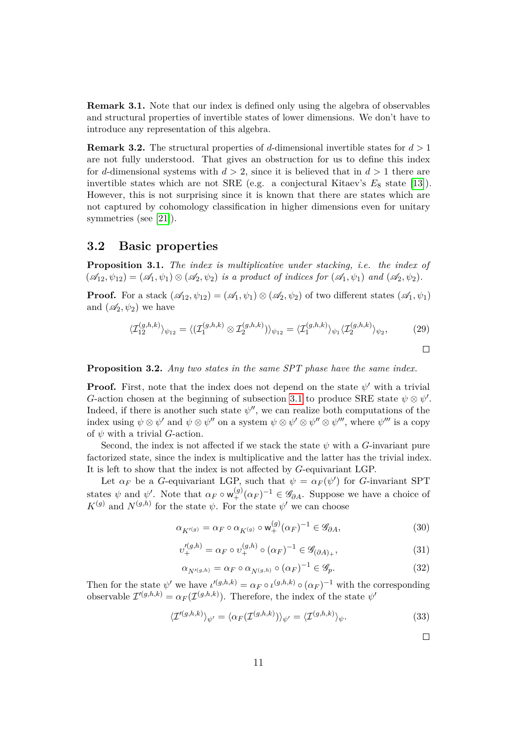**Remark 3.1.** Note that our index is defined only using the algebra of observables and structural properties of invertible states of lower dimensions. We don't have to introduce any representation of this algebra.

**Remark 3.2.** The structural properties of *d*-dimensional invertible states for *d >* 1 are not fully understood. That gives an obstruction for us to define this index for *d*-dimensional systems with  $d > 2$ , since it is believed that in  $d > 1$  there are invertible states which are not SRE (e.g. a conjectural Kitaev's  $E_8$  state [\[13\]](#page-18-8)). However, this is not surprising since it is known that there are states which are not captured by cohomology classification in higher dimensions even for unitary symmetries (see [\[21\]](#page-19-0)).

#### **3.2 Basic properties**

**Proposition 3.1.** *The index is multiplicative under stacking, i.e. the index of*  $(\mathscr{A}_1, \psi_1) = (\mathscr{A}_1, \psi_1) \otimes (\mathscr{A}_2, \psi_2)$  *is a product of indices for*  $(\mathscr{A}_1, \psi_1)$  *and*  $(\mathscr{A}_2, \psi_2)$ *.* 

**Proof.** For a stack  $(\mathscr{A}_{12}, \psi_{12}) = (\mathscr{A}_1, \psi_1) \otimes (\mathscr{A}_2, \psi_2)$  of two different states  $(\mathscr{A}_1, \psi_1)$ and  $(\mathscr{A}_2, \psi_2)$  we have

$$
\langle \mathcal{I}_{12}^{(g,h,k)} \rangle_{\psi_{12}} = \langle (\mathcal{I}_{1}^{(g,h,k)} \otimes \mathcal{I}_{2}^{(g,h,k)}) \rangle_{\psi_{12}} = \langle \mathcal{I}_{1}^{(g,h,k)} \rangle_{\psi_{1}} \langle \mathcal{I}_{2}^{(g,h,k)} \rangle_{\psi_{2}}, \tag{29}
$$

**Proposition 3.2.** *Any two states in the same SPT phase have the same index.*

**Proof.** First, note that the index does not depend on the state  $\psi'$  with a trivial *G*-action chosen at the beginning of subsection [3.1](#page-7-2) to produce SRE state  $\psi \otimes \psi'$ . Indeed, if there is another such state  $\psi''$ , we can realize both computations of the index using  $\psi \otimes \psi'$  and  $\psi \otimes \psi''$  on a system  $\psi \otimes \psi' \otimes \psi'' \otimes \psi'''$ , where  $\psi'''$  is a copy of *ψ* with a trivial *G*-action.

Second, the index is not affected if we stack the state  $\psi$  with a *G*-invariant pure factorized state, since the index is multiplicative and the latter has the trivial index. It is left to show that the index is not affected by *G*-equivariant LGP.

Let  $\alpha_F$  be a *G*-equivariant LGP, such that  $\psi = \alpha_F(\psi')$  for *G*-invariant SPT states  $\psi$  and  $\psi'$ . Note that  $\alpha_F \circ w^{(g)}_+(\alpha_F)^{-1} \in \mathscr{G}_{\partial A}$ . Suppose we have a choice of  $K^{(g)}$  and  $N^{(g,h)}$  for the state  $\psi$ . For the state  $\psi'$  we can choose

$$
\alpha_{K'(g)} = \alpha_F \circ \alpha_{K(g)} \circ \mathsf{w}_{+}^{(g)}(\alpha_F)^{-1} \in \mathscr{G}_{\partial A},\tag{30}
$$

$$
v_{+}^{\prime(g,h)} = \alpha_F \circ v_{+}^{(g,h)} \circ (\alpha_F)^{-1} \in \mathscr{G}_{(\partial A)_{+}},
$$
\n(31)

$$
\alpha_{N'(g,h)} = \alpha_F \circ \alpha_{N(g,h)} \circ (\alpha_F)^{-1} \in \mathscr{G}_p. \tag{32}
$$

Then for the state  $\psi'$  we have  $\iota'^{(g,h,k)} = \alpha_F \circ \iota^{(g,h,k)} \circ (\alpha_F)^{-1}$  with the corresponding observable  $\mathcal{I}'^{(g,h,k)} = \alpha_F(\mathcal{I}^{(g,h,k)})$ . Therefore, the index of the state  $\psi'$ 

$$
\langle \mathcal{I}'^{(g,h,k)} \rangle_{\psi'} = \langle \alpha_F(\mathcal{I}^{(g,h,k)}) \rangle_{\psi'} = \langle \mathcal{I}^{(g,h,k)} \rangle_{\psi}.
$$
 (33)

 $\Box$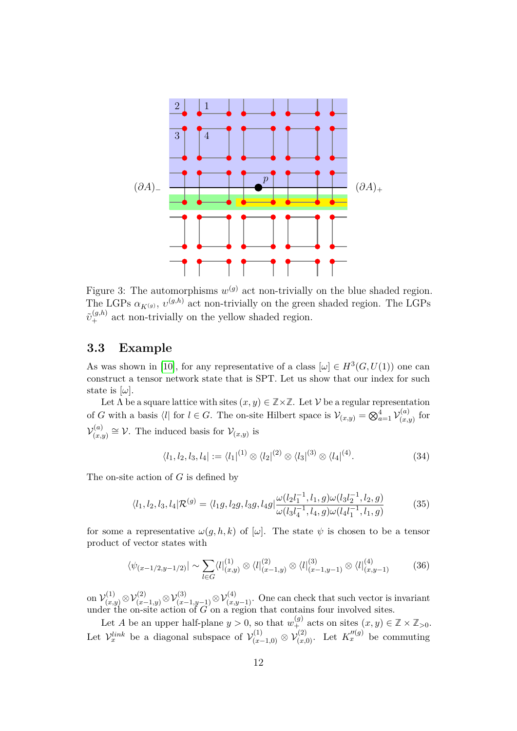

Figure 3: The automorphisms  $w^{(g)}$  act non-trivially on the blue shaded region. The LGPs  $\alpha_{K^{(g)}}, v^{(g,h)}$  act non-trivially on the green shaded region. The LGPs  $\tilde{v}_{+}^{(g,h)}$  act non-trivially on the yellow shaded region.

#### **3.3 Example**

As was shown in [\[10\]](#page-18-2), for any representative of a class  $[\omega] \in H^3(G, U(1))$  one can construct a tensor network state that is SPT. Let us show that our index for such state is  $[\omega]$ .

Let  $\Lambda$  be a square lattice with sites  $(x, y) \in \mathbb{Z} \times \mathbb{Z}$ . Let  $\mathcal V$  be a regular representation of *G* with a basis  $\langle l |$  for  $l \in G$ . The on-site Hilbert space is  $\mathcal{V}_{(x,y)} = \bigotimes_{a=1}^{4} \mathcal{V}_{(x,\zeta)}^{(a)}$  $\chi_{(x,y)}^{(u)}$  for  $\mathcal{V}^{(a)}_{(x)}$  $(v(x,y)$ <sup>(*a*</sup>) ≅  $V$ . The induced basis for  $V_{(x,y)}$  is

$$
\langle l_1, l_2, l_3, l_4 | := \langle l_1 |^{(1)} \otimes \langle l_2 |^{(2)} \otimes \langle l_3 |^{(3)} \otimes \langle l_4 |^{(4)} \rangle \tag{34}
$$

The on-site action of *G* is defined by

$$
\langle l_1, l_2, l_3, l_4 | \mathcal{R}^{(g)} = \langle l_1 g, l_2 g, l_3 g, l_4 g | \frac{\omega(l_2 l_1^{-1}, l_1, g) \omega(l_3 l_2^{-1}, l_2, g)}{\omega(l_3 l_4^{-1}, l_4, g) \omega(l_4 l_1^{-1}, l_1, g)}
$$
(35)

for some a representative  $\omega(g, h, k)$  of  $[\omega]$ . The state  $\psi$  is chosen to be a tensor product of vector states with

$$
\langle \psi_{(x-1/2,y-1/2)} | \sim \sum_{l \in G} \langle l \vert_{(x,y)}^{(1)} \otimes \langle l \vert_{(x-1,y)}^{(2)} \otimes \langle l \vert_{(x-1,y-1)}^{(3)} \otimes \langle l \vert_{(x,y-1)}^{(4)} \rangle \tag{36}
$$

on  $\mathcal{V}_{(x,y)}^{(1)} \otimes \mathcal{V}_{(x-1,y)}^{(2)} \otimes \mathcal{V}_{(x-1,y-1)}^{(3)} \otimes \mathcal{V}_{(x,y-1)}^{(4)}$ . One can check that such vector is invariant under the on-site action of *G* on a region that contains four involved sites.

Let *A* be an upper half-plane  $y > 0$ , so that  $w_+^{(g)}$  acts on sites  $(x, y) \in \mathbb{Z} \times \mathbb{Z}_{>0}$ . Let  $\mathcal{V}_x^{link}$  be a diagonal subspace of  $\mathcal{V}_{(x-1,0)}^{(1)} \otimes \mathcal{V}_{(x,0)}^{(2)}$ . Let  $K_x''^{(g)}$  be commuting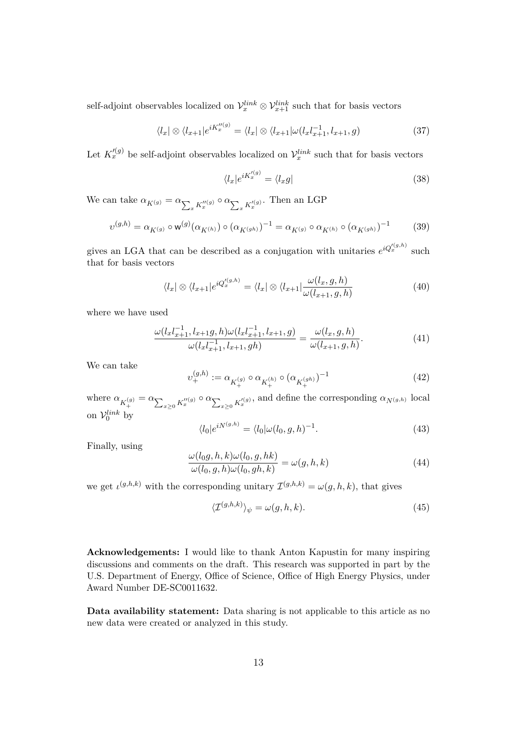self-adjoint observables localized on  $\mathcal{V}_x^{link} \otimes \mathcal{V}_{x+1}^{link}$  such that for basis vectors

$$
\langle l_x | \otimes \langle l_{x+1} | e^{iK_x'''(g)} \rangle = \langle l_x | \otimes \langle l_{x+1} | \omega(l_x l_{x+1}^{-1}, l_{x+1}, g) \rangle \tag{37}
$$

Let  $K_x^{\prime(g)}$  be self-adjoint observables localized on  $\mathcal{V}_x^{link}$  such that for basis vectors

$$
\langle l_x | e^{iK_x^{(g)}} = \langle l_x g | \tag{38}
$$

We can take  $\alpha_{K(g)} = \alpha_{\sum_x K_x''(g)} \circ \alpha_{\sum_x K_x'^{(g)}}$ . Then an LGP

$$
v^{(g,h)} = \alpha_{K^{(g)}} \circ \mathsf{w}^{(g)}(\alpha_{K^{(h)}}) \circ (\alpha_{K^{(gh)}})^{-1} = \alpha_{K^{(g)}} \circ \alpha_{K^{(h)}} \circ (\alpha_{K^{(gh)}})^{-1}
$$
(39)

gives an LGA that can be described as a conjugation with unitaries  $e^{iQ_x^{(g,h)}}$  such that for basis vectors

$$
\langle l_x | \otimes \langle l_{x+1} | e^{i Q_x^{(g,h)}} = \langle l_x | \otimes \langle l_{x+1} | \frac{\omega(l_x, g, h)}{\omega(l_{x+1}, g, h)} \rangle \tag{40}
$$

where we have used

$$
\frac{\omega(l_x l_{x+1}^{-1}, l_{x+1} g, h)\omega(l_x l_{x+1}^{-1}, l_{x+1}, g)}{\omega(l_x l_{x+1}^{-1}, l_{x+1}, g h)} = \frac{\omega(l_x, g, h)}{\omega(l_{x+1}, g, h)}.\tag{41}
$$

We can take

$$
v_{+}^{(g,h)} := \alpha_{K_{+}^{(g)}} \circ \alpha_{K_{+}^{(h)}} \circ (\alpha_{K_{+}^{(gh)}})^{-1}
$$
\n(42)

where  $\alpha_{K_+^{(g)}} = \alpha_{\sum_{x\geq 0} K_x''^{(g)}} \circ \alpha_{\sum_{x\geq 0} K_x'^{(g)}}$ , and define the corresponding  $\alpha_{N^{(g,h)}}$  local on  $\mathcal{V}_0^{link}$  by

$$
\langle l_0|e^{iN(g,h)} = \langle l_0|\omega(l_0,g,h)^{-1}.\tag{43}
$$

Finally, using

$$
\frac{\omega(l_0 g, h, k)\omega(l_0, g, hk)}{\omega(l_0, g, h)\omega(l_0, gh, k)} = \omega(g, h, k)
$$
\n(44)

we get  $\iota^{(g,h,k)}$  with the corresponding unitary  $\mathcal{I}^{(g,h,k)} = \omega(g,h,k)$ , that gives

$$
\langle \mathcal{I}^{(g,h,k)} \rangle_{\psi} = \omega(g,h,k). \tag{45}
$$

**Acknowledgements:** I would like to thank Anton Kapustin for many inspiring discussions and comments on the draft. This research was supported in part by the U.S. Department of Energy, Office of Science, Office of High Energy Physics, under Award Number DE-SC0011632.

**Data availability statement:** Data sharing is not applicable to this article as no new data were created or analyzed in this study.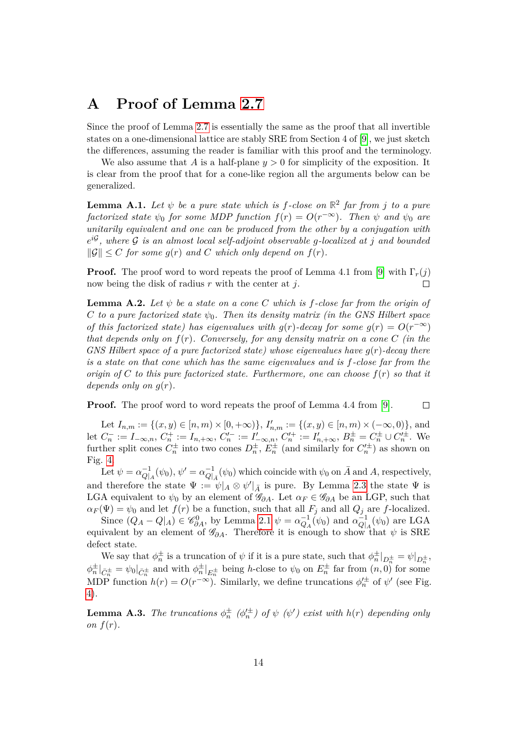## <span id="page-13-0"></span>**A Proof of Lemma [2.7](#page-6-1)**

Since the proof of Lemma [2.7](#page-6-1) is essentially the same as the proof that all invertible states on a one-dimensional lattice are stably SRE from Section 4 of [\[9\]](#page-18-1), we just sketch the differences, assuming the reader is familiar with this proof and the terminology.

We also assume that *A* is a half-plane *y >* 0 for simplicity of the exposition. It is clear from the proof that for a cone-like region all the arguments below can be generalized.

<span id="page-13-1"></span>**Lemma A.1.** Let  $\psi$  be a pure state which is f-close on  $\mathbb{R}^2$  far from j to a pure *factorized state*  $\psi_0$  *for some MDP function*  $f(r) = O(r^{-\infty})$ *. Then*  $\psi$  *and*  $\psi_0$  *are unitarily equivalent and one can be produced from the other by a conjugation with*  $e^{i\mathcal{G}}$ , where  $\mathcal G$  *is an almost local self-adjoint observable g-localized at j and bounded*  $||\mathcal{G}|| \leq C$  *for some*  $g(r)$  *and C which only depend on*  $f(r)$ *.* 

**Proof.** The proof word to word repeats the proof of Lemma 4.1 from [\[9\]](#page-18-1) with  $\Gamma_r(j)$ now being the disk of radius *r* with the center at *j*.  $\Box$ 

<span id="page-13-2"></span>**Lemma A.2.** Let  $\psi$  be a state on a cone C which is f-close far from the origin of *C to a pure factorized state*  $\psi_0$ *. Then its density matrix (in the GNS Hilbert space of this factorized state) has eigenvalues with*  $g(r)$ *-decay for some*  $g(r) = O(r^{-\infty})$ *that depends only on f*(*r*)*. Conversely, for any density matrix on a cone C (in the GNS Hilbert space of a pure factorized state) whose eigenvalues have g*(*r*)*-decay there is a state on that cone which has the same eigenvalues and is f-close far from the origin of C to this pure factorized state. Furthermore, one can choose f*(*r*) *so that it depends only on*  $g(r)$ *.* 

**Proof.** The proof word to word repeats the proof of Lemma 4.4 from [\[9\]](#page-18-1).

 $\Box$ 

Let  $I_{n,m} := \{(x, y) \in [n, m) \times [0, +\infty)\},$   $I'_{n,m} := \{(x, y) \in [n, m) \times (-\infty, 0)\},$  and let  $C_n^- := I_{-\infty,n}, C_n^+ := I_{n,+\infty}, C_n'^- := I'_{-\infty,n}, C_n'^+ := I'_{n,+\infty}, B_n^{\pm} = C_n^{\pm} \cup C_n'^{\pm}.$  We further split cones  $C_n^{\pm}$  into two cones  $D_n^{\pm}$ ,  $E_n^{\pm}$  (and similarly for  $C_n'^{\pm}$ ) as shown on Fig. [4.](#page-17-7)

Let  $\psi = \alpha_{\Omega}^{-1}$  $Q_{|A}^{-1}(\psi_0), \psi' = \alpha_{Q}^{-1}$  $Q|_{\bar{A}}^{-1}(\psi_0)$  which coincide with  $\psi_0$  on  $\bar{A}$  and  $A$ , respectively, and therefore the state  $\Psi := \psi|_A \otimes \psi'|_{\bar{A}}$  is pure. By Lemma [2.3](#page-4-2) the state  $\Psi$  is LGA equivalent to  $\psi_0$  by an element of  $\mathscr{G}_{\partial A}$ . Let  $\alpha_F \in \mathscr{G}_{\partial A}$  be an LGP, such that  $\alpha_F(\Psi) = \psi_0$  and let  $f(r)$  be a function, such that all  $F_j$  and all  $Q_j$  are *f*-localized.

Since  $(Q_A - Q|_A) \in \mathscr{C}_{\partial A}^0$ , by Lemma [2.1](#page-4-1)  $\psi = \alpha_{Q_A}^{-1}(\psi_0)$  and  $\alpha_{Q|A}^{-1}$  $\frac{1}{Q|A}(\psi_0)$  are LGA equivalent by an element of  $\mathscr{G}_{\partial A}$ . Therefore it is enough to show that  $\psi$  is SRE defect state.

We say that  $\phi_n^{\pm}$  is a truncation of  $\psi$  if it is a pure state, such that  $\phi_n^{\pm}|_{D_n^{\pm}} = \psi|_{D_n^{\pm}}$ ,  $\phi_n^{\pm}|_{\bar{C}_n^{\pm}} = \psi_0|_{\bar{C}_n^{\pm}}$  and with  $\phi_n^{\pm}|_{E_n^{\pm}}$  being *h*-close to  $\psi_0$  on  $E_n^{\pm}$  far from  $(n,0)$  for some MDP function  $h(r) = O(r^{-\infty})$ . Similarly, we define truncations  $\phi_n^{\prime \pm}$  of  $\psi$ <sup>'</sup> (see Fig. [4\)](#page-17-7).

**Lemma A.3.** *The truncations*  $\phi_n^{\pm}$  ( $\phi_n^{\prime \pm}$ ) of  $\psi$  ( $\psi'$ ) exist with  $h(r)$  depending only *on*  $f(r)$ *.*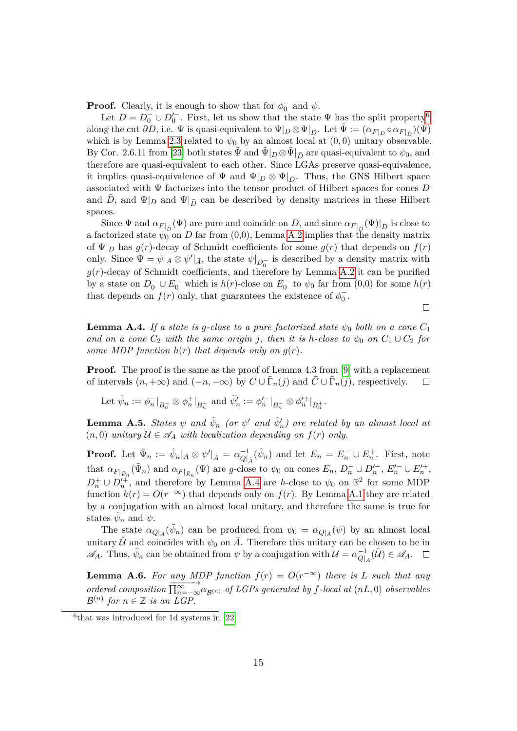**Proof.** Clearly, it is enough to show that for  $\phi_0^-$  and  $\psi$ .

Let  $D = D_0^- \cup D_0'^-$ . First, let us show that the state  $\Psi$  has the split property<sup>[6](#page-14-1)</sup> along the cut  $\partial D$ , i.e.  $\Psi$  is quasi-equivalent to  $\Psi|_D \otimes \Psi|_{\bar{D}}$ . Let  $\tilde{\Psi} := (\alpha_{F|_D} \circ \alpha_{F|_{\bar{D}}})(\Psi)$ which is by Lemma [2.3](#page-4-2) related to  $\psi_0$  by an almost local at  $(0,0)$  unitary observable. By Cor. 2.6.11 from [\[23\]](#page-19-1) both states  $\tilde{\Psi}$  and  $\tilde{\Psi}|_D \otimes \tilde{\Psi}|_{\bar{D}}$  are quasi-equivalent to  $\psi_0$ , and therefore are quasi-equivalent to each other. Since LGAs preserve quasi-equivalence, it implies quasi-equivalence of  $\Psi$  and  $\Psi|_D \otimes \Psi|_{\bar{D}}$ . Thus, the GNS Hilbert space associated with Ψ factorizes into the tensor product of Hilbert spaces for cones *D* and *D*, and  $\Psi|_D$  and  $\Psi|_{\bar{D}}$  can be described by density matrices in these Hilbert spaces.

Since  $\Psi$  and  $\alpha_{F|_{\bar{D}}}(\Psi)$  are pure and coincide on *D*, and since  $\alpha_{F|_{\bar{D}}}(\Psi)|_{\bar{D}}$  is close to a factorized state  $\psi_0$  on *D* far from (0,0), Lemma [A.2](#page-13-2) implies that the density matrix of  $\Psi|_D$  has  $g(r)$ -decay of Schmidt coefficients for some  $g(r)$  that depends on  $f(r)$ only. Since  $\Psi = \psi|_A \otimes \psi'|_{\bar{A}}$ , the state  $\psi|_{D_0^-}$  is described by a density matrix with  $g(r)$ -decay of Schmidt coefficients, and therefore by Lemma [A.2](#page-13-2) it can be purified by a state on  $D_0^- \cup E_0^-$  which is  $h(r)$ -close on  $E_0^-$  to  $\psi_0$  far from  $(0,0)$  for some  $h(r)$ that depends on  $f(r)$  only, that guarantees the existence of  $\phi_0^-$ .

<span id="page-14-0"></span>**Lemma A.4.** *If a state is g-close to a pure factorized state*  $\psi_0$  *both on a cone*  $C_1$ *and on a cone*  $C_2$  *with the same origin j, then it is h-close to*  $\psi_0$  *on*  $C_1 \cup C_2$  *for some MDP function*  $h(r)$  *that depends only on*  $g(r)$ *.* 

 $\Box$ 

**Proof.** The proof is the same as the proof of Lemma 4.3 from [\[9\]](#page-18-1) with a replacement of intervals  $(n, +\infty)$  and  $(-n, -\infty)$  by  $C \cup \overline{\Gamma}_n(j)$  and  $\overline{C} \cup \overline{\Gamma}_n(j)$ , respectively.  $\Box$ 

Let  $\tilde{\psi}_n := \phi_n^-|_{B_n^-} \otimes \phi_n^+|_{B_n^+}$  and  $\tilde{\psi}'_n := \phi_n'^-|_{B_n^-} \otimes \phi_n'^+|_{B_n^+}$ .

<span id="page-14-2"></span>**Lemma A.5.** *States*  $\psi$  *and*  $\tilde{\psi}_n$  (or  $\psi'$  *and*  $\tilde{\psi}'_n$ ) are related by an almost local at  $(n, 0)$  *unitary*  $U \in \mathcal{A}_A$  *with localization depending on*  $f(r)$  *only.* 

**Proof.** Let  $\tilde{\Psi}_n := \tilde{\psi}_n | A \otimes \psi' |_{\bar{A}} = \alpha_{Q}^{-1}$  $\overline{Q}$ <sup>1</sup><sub>*A*</sub></sub> $(\tilde{\psi}_n)$  and let  $E_n = E_n^- \cup E_n^+$ . First, note that  $\alpha_{F|_{\bar{E}_n}}(\tilde{\Psi}_n)$  and  $\alpha_{F|_{\bar{E}_n}}(\Psi)$  are g-close to  $\psi_0$  on cones  $E_n$ ,  $D_n^- \cup D_n'^-$ ,  $E_n'^- \cup E_n'^+$ ,  $D_n^+ \cup D_n^{\prime +}$ , and therefore by Lemma [A.4](#page-14-0) are *h*-close to  $\psi_0$  on  $\mathbb{R}^2$  for some MDP function  $h(r) = O(r^{-\infty})$  that depends only on  $f(r)$ . By Lemma [A.1](#page-13-1) they are related by a conjugation with an almost local unitary, and therefore the same is true for states  $\tilde{\psi}_n$  and  $\psi$ .

The state  $\alpha_{Q|A}(\tilde{\psi}_n)$  can be produced from  $\psi_0 = \alpha_{Q|A}(\psi)$  by an almost local unitary  $\tilde{U}$  and coincides with  $\psi_0$  on  $\overline{A}$ . Therefore this unitary can be chosen to be in  $\mathscr{A}_A$ . Thus,  $\tilde{\psi}_n$  can be obtained from  $\psi$  by a conjugation with  $\mathcal{U} = \alpha_{\mathcal{O}}^{-1}$  $\tilde{\omega}_{|A}^{-1}(\tilde{\mathcal{U}}) \in \mathscr{A}_A.$ 

<span id="page-14-3"></span>**Lemma A.6.** For any MDP function  $f(r) = O(r^{-\infty})$  there is L such that any *ordered composition*  $\frac{d\mathcal{L}}{\prod_{n=-\infty}^{\infty} \alpha_{\mathcal{B}^{(n)}}}$  *of LGPs generated by f*-local at (*nL,* 0) *observables*  $\mathcal{B}^{(n)}$  for  $n \in \mathbb{Z}$  is an LGP.

<span id="page-14-1"></span><sup>6</sup> that was introduced for 1d systems in [\[22\]](#page-19-2)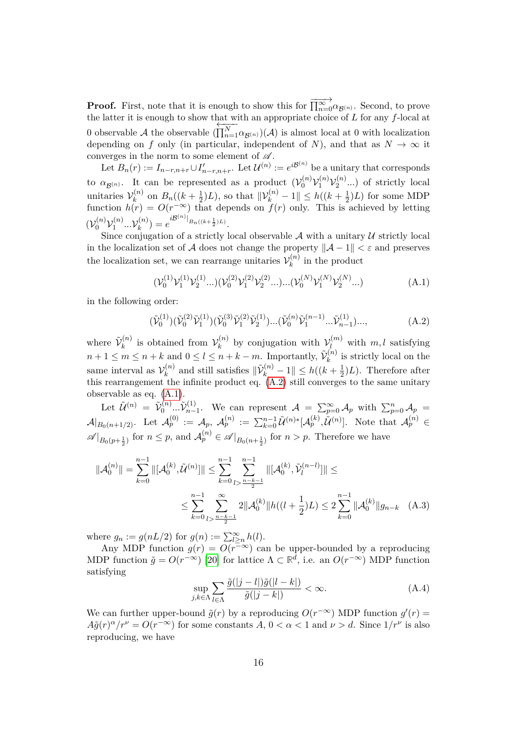**Proof.** First, note that it is enough to show this for  $\overrightarrow{\prod_{n=0}^{\infty}} \alpha_{\mathcal{B}^{(n)}}$ . Second, to prove the latter it is enough to show that with an appropriate choice of *L* for any *f*-local at 0 observable  $A$  the observable ()  $\frac{\sum_{i=1}^{M} \alpha_{\mathcal{B}^{(n)}}}{\prod_{n=1}^{N} \alpha_{\mathcal{B}^{(n)}}}$  (A) is almost local at 0 with localization depending on *f* only (in particular, independent of *N*), and that as  $N \to \infty$  it converges in the norm to some element of  $\mathscr A.$ 

Let  $B_n(r) := I_{n-r,n+r} \cup I'_{n-r,n+r}$ . Let  $\mathcal{U}^{(n)} := e^{i \mathcal{B}^{(n)}}$  be a unitary that corresponds to  $\alpha_{\mathcal{B}^{(n)}}$ . It can be represented as a product  $(\mathcal{V}_0^{(n)} \mathcal{V}_1^{(n)} \mathcal{V}_2^{(n)}$  $2^{(n)}$ ...) of strictly local unitaries  $\mathcal{V}_k^{(n)}$  $B_n^{(n)}$  on  $B_n((k+\frac{1}{2}))$  $\frac{1}{2}$ )*L*), so that  $\|\mathcal{V}_k^{(n)} - 1\| \le h((k + \frac{1}{2}))$  $\frac{1}{2}$  $(L)$  for some MDP function  $h(r) = O(r^{-\infty})$  that depends on  $f(r)$  only. This is achieved by letting  $(\mathcal{V}_0^{(n)}\mathcal{V}_1^{(n)}$  $\mathcal{V}_1^{(n)}...\mathcal{V}_k^{(n)}$  $e^{i\mathcal{B}^{(n)}}|_{B_n((k+\frac{1}{2})^L)}$ .

Since conjugation of a strictly local observable  $A$  with a unitary  $U$  strictly local in the localization set of A does not change the property  $\|\mathcal{A} - 1\| < \varepsilon$  and preserves the localization set, we can rearrange unitaries  $\mathcal{V}_k^{(n)}$  $\binom{n}{k}$  in the product

<span id="page-15-1"></span>
$$
(\mathcal{V}_0^{(1)}\mathcal{V}_1^{(1)}\mathcal{V}_2^{(1)}...)(\mathcal{V}_0^{(2)}\mathcal{V}_1^{(2)}\mathcal{V}_2^{(2)}...)...(\mathcal{V}_0^{(N)}\mathcal{V}_1^{(N)}\mathcal{V}_2^{(N)}...)
$$
(A.1)

in the following order:

<span id="page-15-0"></span>
$$
(\tilde{\mathcal{V}}_0^{(1)})(\tilde{\mathcal{V}}_0^{(2)}\tilde{\mathcal{V}}_1^{(1)})(\tilde{\mathcal{V}}_0^{(3)}\tilde{\mathcal{V}}_1^{(2)}\tilde{\mathcal{V}}_2^{(1)})...\tilde{(\tilde{\mathcal{V}}_0^{(n)}}\tilde{\mathcal{V}}_1^{(n-1)}...\tilde{\mathcal{V}}_{n-1}^{(1)})...,
$$
 (A.2)

where  $\tilde{\mathcal{V}}_k^{(n)}$  $\mathcal{V}_k^{(n)}$  is obtained from  $\mathcal{V}_k^{(n)}$  $\mathcal{V}_k^{(n)}$  by conjugation with  $\mathcal{V}_l^{(m)}$  with  $m, l$  satisfying  $n+1 \leq m \leq n+k$  and  $0 \leq l \leq n+k-m$ . Importantly,  $\tilde{\mathcal{V}}_k^{(n)}$  $k^{(n)}$  is strictly local on the same interval as  $\mathcal{V}_k^{(n)}$  $h_k^{(n)}$  and still satisfies  $\|\tilde{\mathcal{V}}_k^{(n)} - 1\| \le h((k + \frac{1}{2}))$  $(\frac{1}{2})L$ ). Therefore after this rearrangement the infinite product eq. [\(A.2\)](#page-15-0) still converges to the same unitary observable as eq. [\(A.1\)](#page-15-1).

Let  $\tilde{\mathcal{U}}^{(n)} = \tilde{\mathcal{V}}_0^{(n)}$  $\tilde{\mathcal{V}}^{(n)}_{0}...\tilde{\mathcal{V}}^{(1)}_{n-1}$ *n*<sup>−1</sup>. We can represent  $\mathcal{A} = \sum_{p=0}^{\infty} A_p$  with  $\sum_{p=0}^{n} A_p =$  $\mathcal{A}|_{B_0(n+1/2)}$ . Let  $\mathcal{A}_p^{(0)} := \mathcal{A}_p$ ,  $\mathcal{A}_p^{(n)} := \sum_{k=0}^{n-1} \tilde{\mathcal{U}}^{(n)*}[\mathcal{A}_p^{(k)}, \tilde{\mathcal{U}}^{(n)}]$ . Note that  $\mathcal{A}_p^{(n)} \in$  $\mathscr{A}|_{B_0(p+\frac{1}{2})}$  for  $n \leq p$ , and  $\mathcal{A}_p^{(n)} \in \mathscr{A}|_{B_0(n+\frac{1}{2})}$  for  $n > p$ . Therefore we have

$$
\|\mathcal{A}_{0}^{(n)}\| = \sum_{k=0}^{n-1} \|[\mathcal{A}_{0}^{(k)}, \tilde{\mathcal{U}}^{(n)}]\| \le \sum_{k=0}^{n-1} \sum_{l > \frac{n-k-1}{2}}^{n-1} \|[\mathcal{A}_{0}^{(k)}, \tilde{\mathcal{V}}_{l}^{(n-l)}]\| \le
$$
  

$$
\le \sum_{k=0}^{n-1} \sum_{l > \frac{n-k-1}{2}}^{\infty} 2 \|\mathcal{A}_{0}^{(k)}\| h((l+\frac{1}{2})L) \le 2 \sum_{k=0}^{n-1} \|\mathcal{A}_{0}^{(k)}\| g_{n-k} \quad (A.3)
$$

where  $g_n := g(nL/2)$  for  $g(n) := \sum_{l \geq n}^{\infty} h(l)$ .

Any MDP function  $g(r) = O(r^{-\infty})$  can be upper-bounded by a reproducing MDP function  $\tilde{g} = O(r^{-\infty})$  [\[20\]](#page-18-12) for lattice  $\Lambda \subset \mathbb{R}^d$ , i.e. an  $O(r^{-\infty})$  MDP function satisfying

<span id="page-15-2"></span>
$$
\sup_{j,k\in\Lambda}\sum_{l\in\Lambda}\frac{\tilde{g}(|j-l|)\tilde{g}(|l-k|)}{\tilde{g}(|j-k|)}<\infty.\tag{A.4}
$$

We can further upper-bound  $\tilde{g}(r)$  by a reproducing  $O(r^{-\infty})$  MDP function  $g'(r)$  $A\tilde{g}(r)^{\alpha}/r^{\nu} = O(r^{-\infty})$  for some constants *A*,  $0 < \alpha < 1$  and  $\nu > d$ . Since  $1/r^{\nu}$  is also reproducing, we have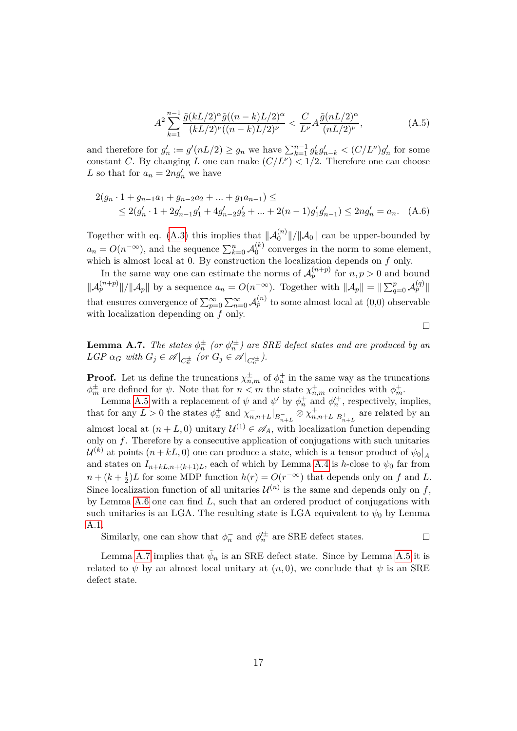$$
A^{2} \sum_{k=1}^{n-1} \frac{\tilde{g}(kL/2)^{\alpha} \tilde{g}((n-k)L/2)^{\alpha}}{(kL/2)^{\nu}((n-k)L/2)^{\nu}} < \frac{C}{L^{\nu}} A \frac{\tilde{g}(nL/2)^{\alpha}}{(nL/2)^{\nu}},\tag{A.5}
$$

and therefore for  $g'_n := g'(nL/2) \ge g_n$  we have  $\sum_{k=1}^{n-1} g'_k g'_{n-k} < (C/L^{\nu})g'_n$  for some constant *C*. By changing *L* one can make  $(C/L^{\nu}) < 1/2$ . Therefore one can choose L so that for  $a_n = 2ng'_n$  we have

$$
2(g_n \cdot 1 + g_{n-1}a_1 + g_{n-2}a_2 + \dots + g_1a_{n-1}) \le
$$
  
 
$$
\leq 2(g'_n \cdot 1 + 2g'_{n-1}g'_1 + 4g'_{n-2}g'_2 + \dots + 2(n-1)g'_1g'_{n-1}) \leq 2ng'_n = a_n. \quad (A.6)
$$

Together with eq. [\(A.3\)](#page-15-2) this implies that  $\|\mathcal{A}_0^{(n)}\|/\|\mathcal{A}_0\|$  can be upper-bounded by 0  $a_n = O(n^{-\infty})$ , and the sequence  $\sum_{k=0}^n A_0^{(k)}$  $\binom{N}{0}$  converges in the norm to some element, which is almost local at 0. By construction the localization depends on *f* only.

In the same way one can estimate the norms of  $\mathcal{A}_p^{(n+p)}$  for  $n, p > 0$  and bound  $\|\mathcal{A}_p^{(n+p)}\|/\|\mathcal{A}_p\|$  by a sequence  $a_n = O(n^{-\infty})$ . Together with  $\|\mathcal{A}_p\| = \|\sum_{q=0}^p \mathcal{A}_p^{(q)}\|$ that ensures convergence of  $\sum_{p=0}^{\infty} \sum_{n=0}^{\infty} \mathcal{A}_{p}^{(n)}$  to some almost local at  $(0,0)$  observable with localization depending on *f* only.

<span id="page-16-0"></span>**Lemma A.7.** *The states*  $\phi_n^{\pm}$  *(or*  $\phi_n^{\prime \pm}$ *)* are *SRE* defect states and are produced by an  $LGP \alpha_G$  with  $G_j \in \mathscr{A}|_{C_n^{\pm}}$  (or  $G_j \in \mathscr{A}|_{C_n^{\prime \pm}}$ ).

 $\Box$ 

**Proof.** Let us define the truncations  $\chi_{n,m}^{\pm}$  of  $\phi_n^+$  in the same way as the truncations  $\phi_m^{\pm}$  are defined for *ψ*. Note that for  $n < m$  the state  $\chi_{n,m}^+$  coincides with  $\phi_m^+$ .

Lemma [A.5](#page-14-2) with a replacement of  $\psi$  and  $\psi'$  by  $\phi_n^+$  and  $\phi_n'^+$ , respectively, implies, that for any  $L > 0$  the states  $\phi_n^+$  and  $\chi_{n,n+L}^-|_{B_{n+L}^-} \otimes \chi_{n,n+L}^+|_{B_{n+L}^+}$  are related by an almost local at  $(n+L, 0)$  unitary  $\mathcal{U}^{(1)} \in \mathscr{A}_A$ , with localization function depending only on *f*. Therefore by a consecutive application of conjugations with such unitaries  $\mathcal{U}^{(k)}$  at points  $(n + kL, 0)$  one can produce a state, which is a tensor product of  $\psi_0|_{\bar{A}}$ and states on  $I_{n+kL,n+(k+1)L}$ , each of which by Lemma [A.4](#page-14-0) is *h*-close to  $\psi_0$  far from  $n + (k + \frac{1}{2})$  $\frac{1}{2}$ )*L* for some MDP function *h*(*r*) = *O*(*r*<sup>−∞</sup>) that depends only on *f* and *L*. Since localization function of all unitaries  $\mathcal{U}^{(n)}$  is the same and depends only on f, by Lemma [A.6](#page-14-3) one can find *L*, such that an ordered product of conjugations with such unitaries is an LGA. The resulting state is LGA equivalent to  $\psi_0$  by Lemma [A.1.](#page-13-1)

Similarly, one can show that  $\phi_n^-$  and  $\phi_n'^{\pm}$  are SRE defect states.  $\Box$ 

Lemma [A.7](#page-16-0) implies that  $\tilde{\psi}_n$  is an SRE defect state. Since by Lemma [A.5](#page-14-2) it is related to  $\psi$  by an almost local unitary at  $(n, 0)$ , we conclude that  $\psi$  is an SRE defect state.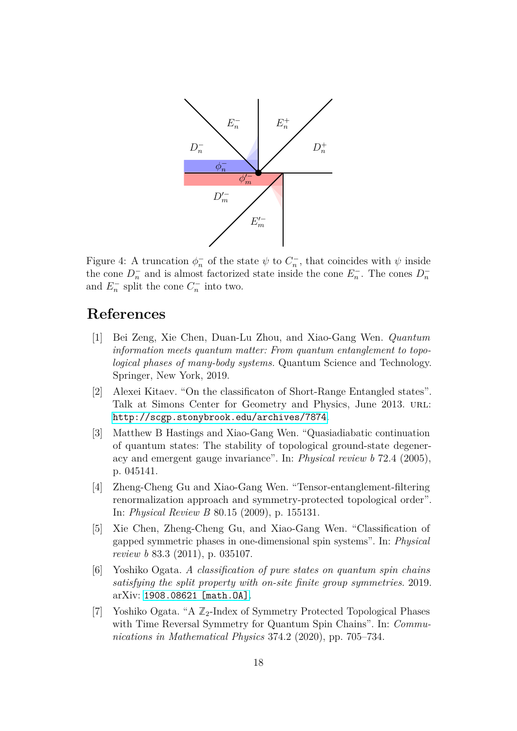<span id="page-17-7"></span>

Figure 4: A truncation  $\phi_n^-$  of the state  $\psi$  to  $C_n^-$ , that coincides with  $\psi$  inside the cone  $D_n^-$  and is almost factorized state inside the cone  $E_n^-$ . The cones  $D_n^$ and  $E_n^-$  split the cone  $C_n^-$  into two.

## **References**

- <span id="page-17-0"></span>[1] Bei Zeng, Xie Chen, Duan-Lu Zhou, and Xiao-Gang Wen. *Quantum information meets quantum matter: From quantum entanglement to topological phases of many-body systems.* Quantum Science and Technology. Springer, New York, 2019.
- <span id="page-17-2"></span>[2] Alexei Kitaev. "On the classificaton of Short-Range Entangled states". Talk at Simons Center for Geometry and Physics, June 2013. url: <http://scgp.stonybrook.edu/archives/7874>.
- <span id="page-17-1"></span>[3] Matthew B Hastings and Xiao-Gang Wen. "Quasiadiabatic continuation of quantum states: The stability of topological ground-state degeneracy and emergent gauge invariance". In: *Physical review b* 72.4 (2005), p. 045141.
- <span id="page-17-3"></span>[4] Zheng-Cheng Gu and Xiao-Gang Wen. "Tensor-entanglement-filtering renormalization approach and symmetry-protected topological order". In: *Physical Review B* 80.15 (2009), p. 155131.
- <span id="page-17-4"></span>[5] Xie Chen, Zheng-Cheng Gu, and Xiao-Gang Wen. "Classification of gapped symmetric phases in one-dimensional spin systems". In: *Physical review b* 83.3 (2011), p. 035107.
- <span id="page-17-5"></span>[6] Yoshiko Ogata. *A classification of pure states on quantum spin chains satisfying the split property with on-site finite group symmetries*. 2019. arXiv: [1908.08621 \[math.OA\]](https://arxiv.org/abs/1908.08621).
- <span id="page-17-6"></span>[7] Yoshiko Ogata. "A  $\mathbb{Z}_2$ -Index of Symmetry Protected Topological Phases with Time Reversal Symmetry for Quantum Spin Chains". In: *Communications in Mathematical Physics* 374.2 (2020), pp. 705–734.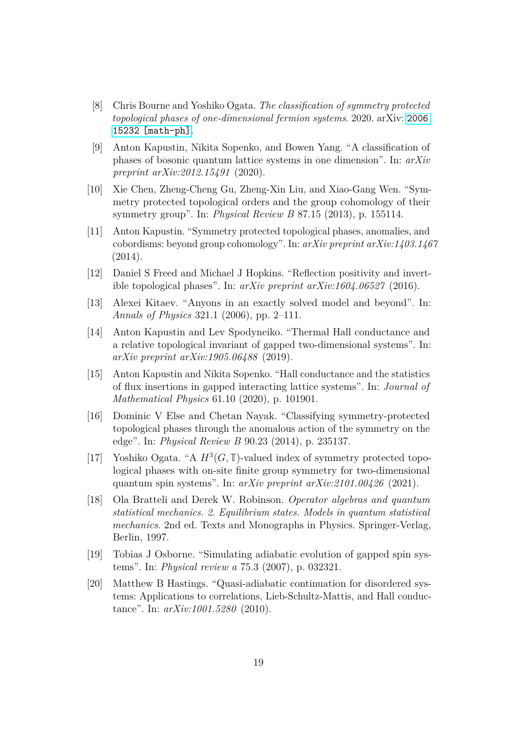- <span id="page-18-0"></span>[8] Chris Bourne and Yoshiko Ogata. *The classification of symmetry protected topological phases of one-dimensional fermion systems*. 2020. arXiv: [2006.](https://arxiv.org/abs/2006.15232) [15232 \[math-ph\]](https://arxiv.org/abs/2006.15232).
- <span id="page-18-1"></span>[9] Anton Kapustin, Nikita Sopenko, and Bowen Yang. "A classification of phases of bosonic quantum lattice systems in one dimension". In: *arXiv preprint arXiv:2012.15491* (2020).
- <span id="page-18-2"></span>[10] Xie Chen, Zheng-Cheng Gu, Zheng-Xin Liu, and Xiao-Gang Wen. "Symmetry protected topological orders and the group cohomology of their symmetry group". In: *Physical Review B* 87.15 (2013), p. 155114.
- <span id="page-18-3"></span>[11] Anton Kapustin. "Symmetry protected topological phases, anomalies, and cobordisms: beyond group cohomology". In: *arXiv preprint arXiv:1403.1467* (2014).
- <span id="page-18-4"></span>[12] Daniel S Freed and Michael J Hopkins. "Reflection positivity and invertible topological phases". In: *arXiv preprint arXiv:1604.06527* (2016).
- <span id="page-18-8"></span>[13] Alexei Kitaev. "Anyons in an exactly solved model and beyond". In: *Annals of Physics* 321.1 (2006), pp. 2–111.
- <span id="page-18-9"></span>[14] Anton Kapustin and Lev Spodyneiko. "Thermal Hall conductance and a relative topological invariant of gapped two-dimensional systems". In: *arXiv preprint arXiv:1905.06488* (2019).
- <span id="page-18-5"></span>[15] Anton Kapustin and Nikita Sopenko. "Hall conductance and the statistics of flux insertions in gapped interacting lattice systems". In: *Journal of Mathematical Physics* 61.10 (2020), p. 101901.
- <span id="page-18-6"></span>[16] Dominic V Else and Chetan Nayak. "Classifying symmetry-protected topological phases through the anomalous action of the symmetry on the edge". In: *Physical Review B* 90.23 (2014), p. 235137.
- <span id="page-18-7"></span>[17] Yoshiko Ogata. "A  $H^3(G, \mathbb{T})$ -valued index of symmetry protected topological phases with on-site finite group symmetry for two-dimensional quantum spin systems". In: *arXiv preprint arXiv:2101.00426* (2021).
- <span id="page-18-10"></span>[18] Ola Bratteli and Derek W. Robinson. *Operator algebras and quantum statistical mechanics. 2. Equilibrium states. Models in quantum statistical mechanics*. 2nd ed. Texts and Monographs in Physics. Springer-Verlag, Berlin, 1997.
- <span id="page-18-11"></span>[19] Tobias J Osborne. "Simulating adiabatic evolution of gapped spin systems". In: *Physical review a* 75.3 (2007), p. 032321.
- <span id="page-18-12"></span>[20] Matthew B Hastings. "Quasi-adiabatic continuation for disordered systems: Applications to correlations, Lieb-Schultz-Mattis, and Hall conductance". In: *arXiv:1001.5280* (2010).